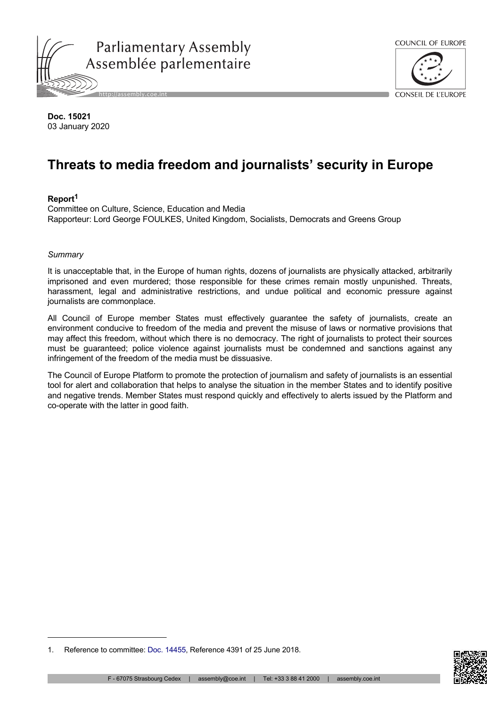



**Doc. 15021** 03 January 2020

# **Threats to media freedom and journalists' security in Europe**

# **Report<sup>1</sup>**

Committee on Culture, Science, Education and Media Rapporteur: Lord George FOULKES, United Kingdom, Socialists, Democrats and Greens Group

# *Summary*

It is unacceptable that, in the Europe of human rights, dozens of journalists are physically attacked, arbitrarily imprisoned and even murdered; those responsible for these crimes remain mostly unpunished. Threats, harassment, legal and administrative restrictions, and undue political and economic pressure against journalists are commonplace.

All Council of Europe member States must effectively guarantee the safety of journalists, create an environment conducive to freedom of the media and prevent the misuse of laws or normative provisions that may affect this freedom, without which there is no democracy. The right of journalists to protect their sources must be guaranteed; police violence against journalists must be condemned and sanctions against any infringement of the freedom of the media must be dissuasive.

The Council of Europe Platform to promote the protection of journalism and safety of journalists is an essential tool for alert and collaboration that helps to analyse the situation in the member States and to identify positive and negative trends. Member States must respond quickly and effectively to alerts issued by the Platform and co-operate with the latter in good faith.



<sup>1.</sup> Reference to committee: [Doc. 14455](http://assembly.coe.int/nw/xml/XRef/Xref-DocDetails-en.asp?FileId=24291), Reference 4391 of 25 June 2018.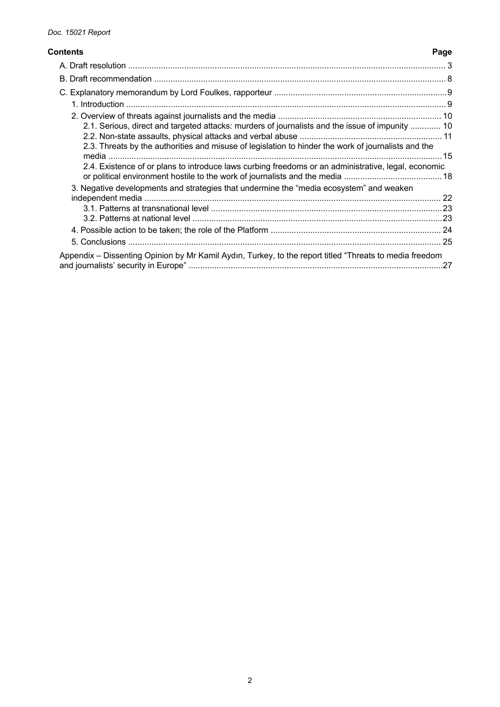#### **Contents Page**

| 2.1. Serious, direct and targeted attacks: murders of journalists and the issue of impunity  10<br>2.3. Threats by the authorities and misuse of legislation to hinder the work of journalists and the |  |
|--------------------------------------------------------------------------------------------------------------------------------------------------------------------------------------------------------|--|
|                                                                                                                                                                                                        |  |
| 2.4. Existence of or plans to introduce laws curbing freedoms or an administrative, legal, economic                                                                                                    |  |
| 3. Negative developments and strategies that undermine the "media ecosystem" and weaken                                                                                                                |  |
|                                                                                                                                                                                                        |  |
|                                                                                                                                                                                                        |  |
|                                                                                                                                                                                                        |  |
|                                                                                                                                                                                                        |  |
| Appendix – Dissenting Opinion by Mr Kamil Aydın, Turkey, to the report titled "Threats to media freedom                                                                                                |  |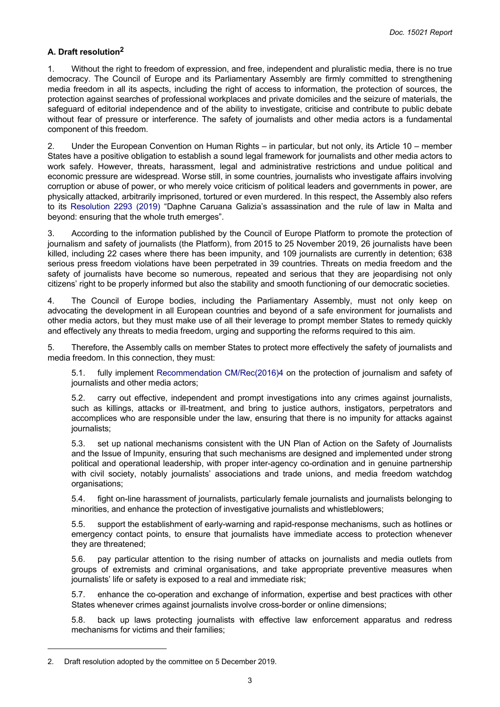## <span id="page-2-0"></span>**A. Draft resolution<sup>2</sup>**

1. Without the right to freedom of expression, and free, independent and pluralistic media, there is no true democracy. The Council of Europe and its Parliamentary Assembly are firmly committed to strengthening media freedom in all its aspects, including the right of access to information, the protection of sources, the protection against searches of professional workplaces and private domiciles and the seizure of materials, the safeguard of editorial independence and of the ability to investigate, criticise and contribute to public debate without fear of pressure or interference. The safety of journalists and other media actors is a fundamental component of this freedom.

2. Under the European Convention on Human Rights – in particular, but not only, its Article 10 – member States have a positive obligation to establish a sound legal framework for journalists and other media actors to work safely. However, threats, harassment, legal and administrative restrictions and undue political and economic pressure are widespread. Worse still, in some countries, journalists who investigate affairs involving corruption or abuse of power, or who merely voice criticism of political leaders and governments in power, are physically attacked, arbitrarily imprisoned, tortured or even murdered. In this respect, the Assembly also refers to its [Resolution](http://assembly.coe.int/nw/xml/XRef/Xref-DocDetails-en.asp?FileId=28053) 2293 (2019) "Daphne Caruana Galizia's assassination and the rule of law in Malta and beyond: ensuring that the whole truth emerges".

3. According to the information published by the Council of Europe Platform to promote the protection of journalism and safety of journalists (the Platform), from 2015 to 25 November 2019, 26 journalists have been killed, including 22 cases where there has been impunity, and 109 journalists are currently in detention; 638 serious press freedom violations have been perpetrated in 39 countries. Threats on media freedom and the safety of journalists have become so numerous, repeated and serious that they are jeopardising not only citizens' right to be properly informed but also the stability and smooth functioning of our democratic societies.

4. The Council of Europe bodies, including the Parliamentary Assembly, must not only keep on advocating the development in all European countries and beyond of a safe environment for journalists and other media actors, but they must make use of all their leverage to prompt member States to remedy quickly and effectively any threats to media freedom, urging and supporting the reforms required to this aim.

5. Therefore, the Assembly calls on member States to protect more effectively the safety of journalists and media freedom. In this connection, they must:

5.1. fully implement [Recommendation](https://search.coe.int/cm/Pages/result_details.aspx?ObjectId=09000016806415d9) CM/Rec(2016)4 on the protection of journalism and safety of journalists and other media actors;

5.2. carry out effective, independent and prompt investigations into any crimes against journalists, such as killings, attacks or ill-treatment, and bring to justice authors, instigators, perpetrators and accomplices who are responsible under the law, ensuring that there is no impunity for attacks against iournalists:

5.3. set up national mechanisms consistent with the UN Plan of Action on the Safety of Journalists and the Issue of Impunity, ensuring that such mechanisms are designed and implemented under strong political and operational leadership, with proper inter-agency co-ordination and in genuine partnership with civil society, notably journalists' associations and trade unions, and media freedom watchdog organisations;

5.4. fight on-line harassment of journalists, particularly female journalists and journalists belonging to minorities, and enhance the protection of investigative journalists and whistleblowers;

5.5. support the establishment of early-warning and rapid-response mechanisms, such as hotlines or emergency contact points, to ensure that journalists have immediate access to protection whenever they are threatened;

5.6. pay particular attention to the rising number of attacks on journalists and media outlets from groups of extremists and criminal organisations, and take appropriate preventive measures when journalists' life or safety is exposed to a real and immediate risk;

5.7. enhance the co-operation and exchange of information, expertise and best practices with other States whenever crimes against journalists involve cross-border or online dimensions;

5.8. back up laws protecting journalists with effective law enforcement apparatus and redress mechanisms for victims and their families;

<sup>2.</sup> Draft resolution adopted by the committee on 5 December 2019.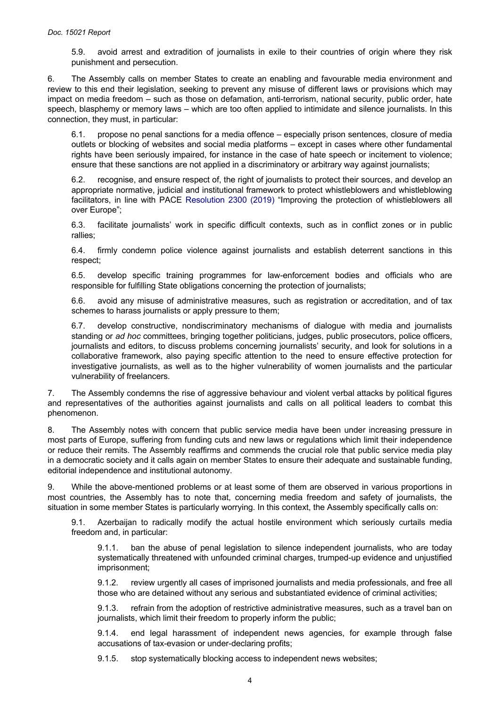5.9. avoid arrest and extradition of journalists in exile to their countries of origin where they risk punishment and persecution.

6. The Assembly calls on member States to create an enabling and favourable media environment and review to this end their legislation, seeking to prevent any misuse of different laws or provisions which may impact on media freedom – such as those on defamation, anti-terrorism, national security, public order, hate speech, blasphemy or memory laws – which are too often applied to intimidate and silence journalists. In this connection, they must, in particular:

6.1. propose no penal sanctions for a media offence – especially prison sentences, closure of media outlets or blocking of websites and social media platforms – except in cases where other fundamental rights have been seriously impaired, for instance in the case of hate speech or incitement to violence; ensure that these sanctions are not applied in a discriminatory or arbitrary way against journalists;

6.2. recognise, and ensure respect of, the right of journalists to protect their sources, and develop an appropriate normative, judicial and institutional framework to protect whistleblowers and whistleblowing facilitators, in line with PACE [Resolution](http://assembly.coe.int/nw/xml/XRef/Xref-DocDetails-en.asp?FileId=28150) 2300 (2019) "Improving the protection of whistleblowers all over Europe";

6.3. facilitate journalists' work in specific difficult contexts, such as in conflict zones or in public rallies;

6.4. firmly condemn police violence against journalists and establish deterrent sanctions in this respect;

6.5. develop specific training programmes for law-enforcement bodies and officials who are responsible for fulfilling State obligations concerning the protection of journalists;

6.6. avoid any misuse of administrative measures, such as registration or accreditation, and of tax schemes to harass journalists or apply pressure to them:

6.7. develop constructive, nondiscriminatory mechanisms of dialogue with media and journalists standing or *ad hoc* committees, bringing together politicians, judges, public prosecutors, police officers, journalists and editors, to discuss problems concerning journalists' security, and look for solutions in a collaborative framework, also paying specific attention to the need to ensure effective protection for investigative journalists, as well as to the higher vulnerability of women journalists and the particular vulnerability of freelancers.

7. The Assembly condemns the rise of aggressive behaviour and violent verbal attacks by political figures and representatives of the authorities against journalists and calls on all political leaders to combat this phenomenon.

8. The Assembly notes with concern that public service media have been under increasing pressure in most parts of Europe, suffering from funding cuts and new laws or regulations which limit their independence or reduce their remits. The Assembly reaffirms and commends the crucial role that public service media play in a democratic society and it calls again on member States to ensure their adequate and sustainable funding, editorial independence and institutional autonomy.

9. While the above-mentioned problems or at least some of them are observed in various proportions in most countries, the Assembly has to note that, concerning media freedom and safety of journalists, the situation in some member States is particularly worrying. In this context, the Assembly specifically calls on:

9.1. Azerbaijan to radically modify the actual hostile environment which seriously curtails media freedom and, in particular:

9.1.1. ban the abuse of penal legislation to silence independent journalists, who are today systematically threatened with unfounded criminal charges, trumped-up evidence and unjustified imprisonment;

9.1.2. review urgently all cases of imprisoned journalists and media professionals, and free all those who are detained without any serious and substantiated evidence of criminal activities;

9.1.3. refrain from the adoption of restrictive administrative measures, such as a travel ban on journalists, which limit their freedom to properly inform the public;

9.1.4. end legal harassment of independent news agencies, for example through false accusations of tax-evasion or under-declaring profits;

9.1.5. stop systematically blocking access to independent news websites;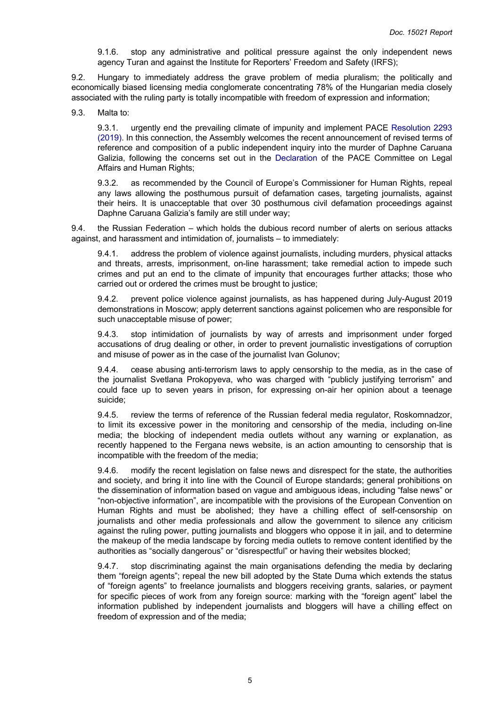9.1.6. stop any administrative and political pressure against the only independent news agency Turan and against the Institute for Reporters' Freedom and Safety (IRFS);

9.2. Hungary to immediately address the grave problem of media pluralism; the politically and economically biased licensing media conglomerate concentrating 78% of the Hungarian media closely associated with the ruling party is totally incompatible with freedom of expression and information;

9.3. Malta to:

9.3.1. urgently end the prevailing climate of impunity and implement PACE [Resolution](http://assembly.coe.int/nw/xml/XRef/Xref-DocDetails-en.asp?FileId=28053) 2293 [\(2019\).](http://assembly.coe.int/nw/xml/XRef/Xref-DocDetails-en.asp?FileId=28053) In this connection, the Assembly welcomes the recent announcement of revised terms of reference and composition of a public independent inquiry into the murder of Daphne Caruana Galizia, following the concerns set out in the [Declaration](http://www.assembly.coe.int/LifeRay/JUR/Pdf/TextesProvisoires/2019/20190930-CaruanaGaliziaAssassination-EN.pdf) of the PACE Committee on Legal Affairs and Human Rights;

9.3.2. as recommended by the Council of Europe's Commissioner for Human Rights, repeal any laws allowing the posthumous pursuit of defamation cases, targeting journalists, against their heirs. It is unacceptable that over 30 posthumous civil defamation proceedings against Daphne Caruana Galizia's family are still under way;

9.4. the Russian Federation – which holds the dubious record number of alerts on serious attacks against, and harassment and intimidation of, journalists – to immediately:

9.4.1. address the problem of violence against journalists, including murders, physical attacks and threats, arrests, imprisonment, on-line harassment; take remedial action to impede such crimes and put an end to the climate of impunity that encourages further attacks; those who carried out or ordered the crimes must be brought to justice;

9.4.2. prevent police violence against journalists, as has happened during July-August 2019 demonstrations in Moscow; apply deterrent sanctions against policemen who are responsible for such unacceptable misuse of power;

9.4.3. stop intimidation of journalists by way of arrests and imprisonment under forged accusations of drug dealing or other, in order to prevent journalistic investigations of corruption and misuse of power as in the case of the journalist Ivan Golunov;

9.4.4. cease abusing anti-terrorism laws to apply censorship to the media, as in the case of the journalist Svetlana Prokopyeva, who was charged with "publicly justifying terrorism" and could face up to seven years in prison, for expressing on-air her opinion about a teenage suicide;

9.4.5. review the terms of reference of the Russian federal media regulator, Roskomnadzor, to limit its excessive power in the monitoring and censorship of the media, including on-line media; the blocking of independent media outlets without any warning or explanation, as recently happened to the Fergana news website, is an action amounting to censorship that is incompatible with the freedom of the media;

9.4.6. modify the recent legislation on false news and disrespect for the state, the authorities and society, and bring it into line with the Council of Europe standards; general prohibitions on the dissemination of information based on vague and ambiguous ideas, including "false news" or "non-objective information", are incompatible with the provisions of the European Convention on Human Rights and must be abolished; they have a chilling effect of self-censorship on journalists and other media professionals and allow the government to silence any criticism against the ruling power, putting journalists and bloggers who oppose it in jail, and to determine the makeup of the media landscape by forcing media outlets to remove content identified by the authorities as "socially dangerous" or "disrespectful" or having their websites blocked;

9.4.7. stop discriminating against the main organisations defending the media by declaring them "foreign agents"; repeal the new bill adopted by the State Duma which extends the status of "foreign agents" to freelance journalists and bloggers receiving grants, salaries, or payment for specific pieces of work from any foreign source: marking with the "foreign agent" label the information published by independent journalists and bloggers will have a chilling effect on freedom of expression and of the media;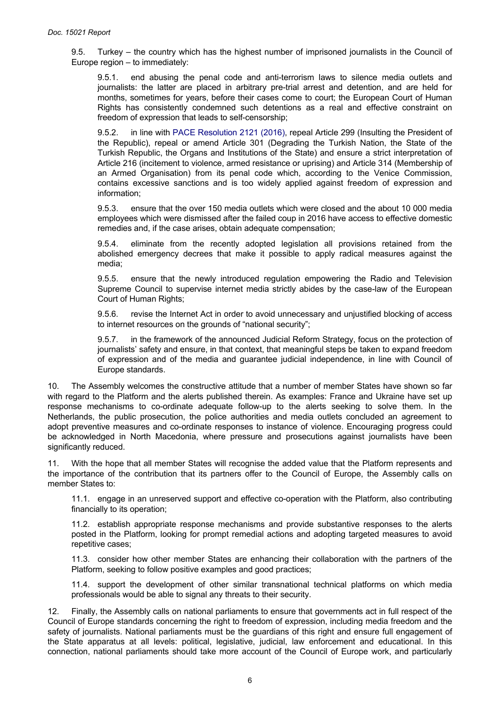9.5. Turkey – the country which has the highest number of imprisoned journalists in the Council of Europe region – to immediately:

9.5.1. end abusing the penal code and anti-terrorism laws to silence media outlets and journalists: the latter are placed in arbitrary pre-trial arrest and detention, and are held for months, sometimes for years, before their cases come to court; the European Court of Human Rights has consistently condemned such detentions as a real and effective constraint on freedom of expression that leads to self-censorship;

9.5.2. in line with [PACE Resolution 2121 \(2016\)](http://assembly.coe.int/nw/xml/XRef/Xref-DocDetails-en.asp?FileId=2417), repeal Article 299 (Insulting the President of the Republic), repeal or amend Article 301 (Degrading the Turkish Nation, the State of the Turkish Republic, the Organs and Institutions of the State) and ensure a strict interpretation of Article 216 (incitement to violence, armed resistance or uprising) and Article 314 (Membership of an Armed Organisation) from its penal code which, according to the Venice Commission, contains excessive sanctions and is too widely applied against freedom of expression and information;

9.5.3. ensure that the over 150 media outlets which were closed and the about 10 000 media employees which were dismissed after the failed coup in 2016 have access to effective domestic remedies and, if the case arises, obtain adequate compensation;

9.5.4. eliminate from the recently adopted legislation all provisions retained from the abolished emergency decrees that make it possible to apply radical measures against the media;

9.5.5. ensure that the newly introduced regulation empowering the Radio and Television Supreme Council to supervise internet media strictly abides by the case-law of the European Court of Human Rights;

9.5.6. revise the Internet Act in order to avoid unnecessary and unjustified blocking of access to internet resources on the grounds of "national security";

9.5.7. in the framework of the announced Judicial Reform Strategy, focus on the protection of journalists' safety and ensure, in that context, that meaningful steps be taken to expand freedom of expression and of the media and guarantee judicial independence, in line with Council of Europe standards.

10. The Assembly welcomes the constructive attitude that a number of member States have shown so far with regard to the Platform and the alerts published therein. As examples: France and Ukraine have set up response mechanisms to co-ordinate adequate follow-up to the alerts seeking to solve them. In the Netherlands, the public prosecution, the police authorities and media outlets concluded an agreement to adopt preventive measures and co-ordinate responses to instance of violence. Encouraging progress could be acknowledged in North Macedonia, where pressure and prosecutions against journalists have been significantly reduced.

11. With the hope that all member States will recognise the added value that the Platform represents and the importance of the contribution that its partners offer to the Council of Europe, the Assembly calls on member States to:

11.1. engage in an unreserved support and effective co-operation with the Platform, also contributing financially to its operation;

11.2. establish appropriate response mechanisms and provide substantive responses to the alerts posted in the Platform, looking for prompt remedial actions and adopting targeted measures to avoid repetitive cases;

11.3. consider how other member States are enhancing their collaboration with the partners of the Platform, seeking to follow positive examples and good practices;

11.4. support the development of other similar transnational technical platforms on which media professionals would be able to signal any threats to their security.

12. Finally, the Assembly calls on national parliaments to ensure that governments act in full respect of the Council of Europe standards concerning the right to freedom of expression, including media freedom and the safety of journalists. National parliaments must be the guardians of this right and ensure full engagement of the State apparatus at all levels: political, legislative, judicial, law enforcement and educational. In this connection, national parliaments should take more account of the Council of Europe work, and particularly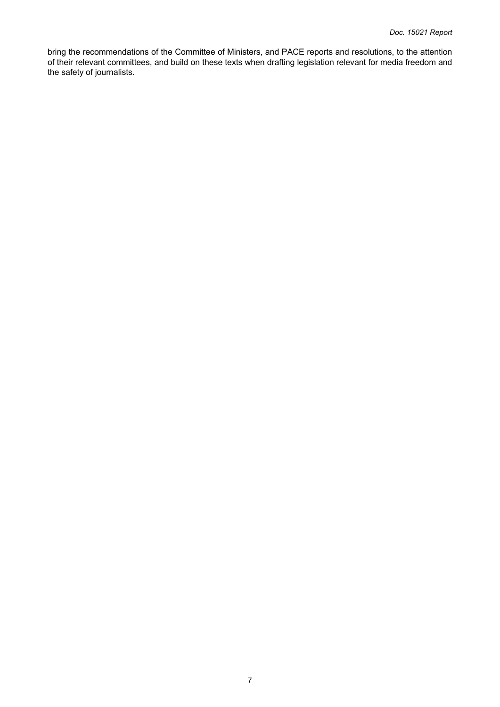bring the recommendations of the Committee of Ministers, and PACE reports and resolutions, to the attention of their relevant committees, and build on these texts when drafting legislation relevant for media freedom and the safety of journalists.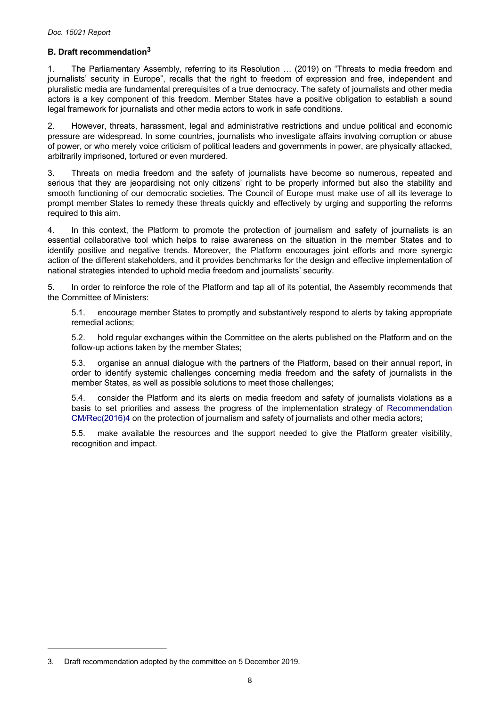# <span id="page-7-0"></span>**B. Draft recommendation<sup>3</sup>**

1. The Parliamentary Assembly, referring to its Resolution … (2019) on "Threats to media freedom and journalists' security in Europe", recalls that the right to freedom of expression and free, independent and pluralistic media are fundamental prerequisites of a true democracy. The safety of journalists and other media actors is a key component of this freedom. Member States have a positive obligation to establish a sound legal framework for journalists and other media actors to work in safe conditions.

2. However, threats, harassment, legal and administrative restrictions and undue political and economic pressure are widespread. In some countries, journalists who investigate affairs involving corruption or abuse of power, or who merely voice criticism of political leaders and governments in power, are physically attacked, arbitrarily imprisoned, tortured or even murdered.

3. Threats on media freedom and the safety of journalists have become so numerous, repeated and serious that they are jeopardising not only citizens' right to be properly informed but also the stability and smooth functioning of our democratic societies. The Council of Europe must make use of all its leverage to prompt member States to remedy these threats quickly and effectively by urging and supporting the reforms required to this aim.

4. In this context, the Platform to promote the protection of journalism and safety of journalists is an essential collaborative tool which helps to raise awareness on the situation in the member States and to identify positive and negative trends. Moreover, the Platform encourages joint efforts and more synergic action of the different stakeholders, and it provides benchmarks for the design and effective implementation of national strategies intended to uphold media freedom and journalists' security.

5. In order to reinforce the role of the Platform and tap all of its potential, the Assembly recommends that the Committee of Ministers:

5.1. encourage member States to promptly and substantively respond to alerts by taking appropriate remedial actions;

5.2. hold regular exchanges within the Committee on the alerts published on the Platform and on the follow-up actions taken by the member States;

5.3. organise an annual dialogue with the partners of the Platform, based on their annual report, in order to identify systemic challenges concerning media freedom and the safety of journalists in the member States, as well as possible solutions to meet those challenges;

5.4. consider the Platform and its alerts on media freedom and safety of journalists violations as a basis to set priorities and assess the progress of the implementation strategy of [Recommendation](https://search.coe.int/cm/Pages/result_details.aspx?ObjectId=09000016806415d9)  [CM/Rec\(2016\)4](https://search.coe.int/cm/Pages/result_details.aspx?ObjectId=09000016806415d9) on the protection of journalism and safety of journalists and other media actors;

5.5. make available the resources and the support needed to give the Platform greater visibility, recognition and impact.

<sup>3.</sup> Draft recommendation adopted by the committee on 5 December 2019.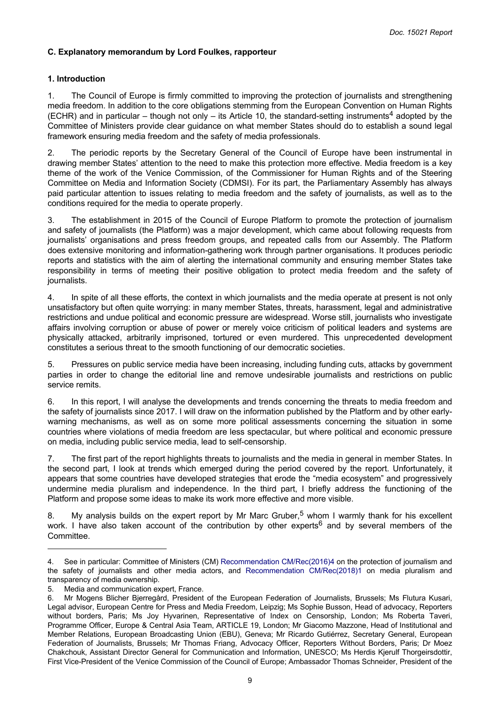# <span id="page-8-0"></span>**C. Explanatory memorandum by Lord Foulkes, rapporteur**

# **1. Introduction**

1. The Council of Europe is firmly committed to improving the protection of journalists and strengthening media freedom. In addition to the core obligations stemming from the European Convention on Human Rights (ECHR) and in particular – though not only – its Article 10, the standard-setting instruments<sup>4</sup> adopted by the Committee of Ministers provide clear guidance on what member States should do to establish a sound legal framework ensuring media freedom and the safety of media professionals.

2. The periodic reports by the Secretary General of the Council of Europe have been instrumental in drawing member States' attention to the need to make this protection more effective. Media freedom is a key theme of the work of the Venice Commission, of the Commissioner for Human Rights and of the Steering Committee on Media and Information Society (CDMSI). For its part, the Parliamentary Assembly has always paid particular attention to issues relating to media freedom and the safety of journalists, as well as to the conditions required for the media to operate properly.

3. The establishment in 2015 of the Council of Europe Platform to promote the protection of journalism and safety of journalists (the Platform) was a major development, which came about following requests from journalists' organisations and press freedom groups, and repeated calls from our Assembly. The Platform does extensive monitoring and information-gathering work through partner organisations. It produces periodic reports and statistics with the aim of alerting the international community and ensuring member States take responsibility in terms of meeting their positive obligation to protect media freedom and the safety of journalists.

4. In spite of all these efforts, the context in which journalists and the media operate at present is not only unsatisfactory but often quite worrying: in many member States, threats, harassment, legal and administrative restrictions and undue political and economic pressure are widespread. Worse still, journalists who investigate affairs involving corruption or abuse of power or merely voice criticism of political leaders and systems are physically attacked, arbitrarily imprisoned, tortured or even murdered. This unprecedented development constitutes a serious threat to the smooth functioning of our democratic societies.

5. Pressures on public service media have been increasing, including funding cuts, attacks by government parties in order to change the editorial line and remove undesirable journalists and restrictions on public service remits.

6. In this report, I will analyse the developments and trends concerning the threats to media freedom and the safety of journalists since 2017. I will draw on the information published by the Platform and by other earlywarning mechanisms, as well as on some more political assessments concerning the situation in some countries where violations of media freedom are less spectacular, but where political and economic pressure on media, including public service media, lead to self-censorship.

7. The first part of the report highlights threats to journalists and the media in general in member States. In the second part, I look at trends which emerged during the period covered by the report. Unfortunately, it appears that some countries have developed strategies that erode the "media ecosystem" and progressively undermine media pluralism and independence. In the third part, I briefly address the functioning of the Platform and propose some ideas to make its work more effective and more visible.

8. My analysis builds on the expert report by Mr Marc Gruber,<sup>5</sup> whom I warmly thank for his excellent work. I have also taken account of the contribution by other experts<sup>6</sup> and by several members of the Committee.

<sup>4.</sup> See in particular: Committee of Ministers (CM) [Recommendation CM/Rec\(2016\)4](https://search.coe.int/cm/Pages/result_details.aspx?ObjectId=09000016806415d9) on the protection of journalism and the safety of journalists and other media actors, and [Recommendation](https://search.coe.int/cm/Pages/result_details.aspx?ObjectId=0900001680790e13) CM/Rec(2018)1 on media pluralism and transparency of media ownership.

<sup>5.</sup> Media and communication expert, France.

<sup>6.</sup> Mr Mogens Blicher Bjerregård, President of the European Federation of Journalists, Brussels; Ms Flutura Kusari, Legal advisor, European Centre for Press and Media Freedom, Leipzig; Ms Sophie Busson, Head of advocacy, Reporters without borders, Paris; Ms Joy Hyvarinen, Representative of Index on Censorship, London; Ms Roberta Taveri, Programme Officer, Europe & Central Asia Team, ARTICLE 19, London; Mr Giacomo Mazzone, Head of Institutional and Member Relations, European Broadcasting Union (EBU), Geneva; Mr Ricardo Gutiérrez, Secretary General, European Federation of Journalists, Brussels; Mr Thomas Friang, Advocacy Officer, Reporters Without Borders, Paris; Dr Moez Chakchouk, Assistant Director General for Communication and Information, UNESCO; Ms Herdis Kjerulf Thorgeirsdottir, First Vice-President of the Venice Commission of the Council of Europe; Ambassador Thomas Schneider, President of the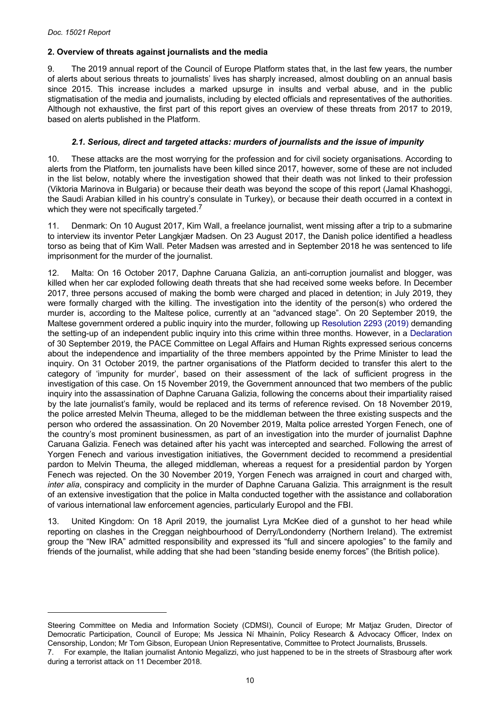# <span id="page-9-0"></span>**2. Overview of threats against journalists and the media**

9. The 2019 annual report of the Council of Europe Platform states that, in the last few years, the number of alerts about serious threats to journalists' lives has sharply increased, almost doubling on an annual basis since 2015. This increase includes a marked upsurge in insults and verbal abuse, and in the public stigmatisation of the media and journalists, including by elected officials and representatives of the authorities. Although not exhaustive, the first part of this report gives an overview of these threats from 2017 to 2019, based on alerts published in the Platform.

# *2.1. Serious, direct and targeted attacks: murders of journalists and the issue of impunity*

10. These attacks are the most worrying for the profession and for civil society organisations. According to alerts from the Platform, ten journalists have been killed since 2017, however, some of these are not included in the list below, notably where the investigation showed that their death was not linked to their profession (Viktoria Marinova in Bulgaria) or because their death was beyond the scope of this report (Jamal Khashoggi, the Saudi Arabian killed in his country's consulate in Turkey), or because their death occurred in a context in which they were not specifically targeted.<sup>7</sup>

11. Denmark: On 10 August 2017, Kim Wall, a freelance journalist, went missing after a trip to a submarine to interview its inventor Peter Langkjær Madsen. On 23 August 2017, the Danish police identified a headless torso as being that of Kim Wall. Peter Madsen was arrested and in September 2018 he was sentenced to life imprisonment for the murder of the journalist.

12. Malta: On 16 October 2017, Daphne Caruana Galizia, an anti-corruption journalist and blogger, was killed when her car exploded following death threats that she had received some weeks before. In December 2017, three persons accused of making the bomb were charged and placed in detention; in July 2019, they were formally charged with the killing. The investigation into the identity of the person(s) who ordered the murder is, according to the Maltese police, currently at an "advanced stage". On 20 September 2019, the Maltese government ordered a public inquiry into the murder, following up [Resolution 2293 \(2019\)](http://assembly.coe.int/nw/xml/XRef/Xref-DocDetails-en.asp?FileId=28053) demanding the setting-up of an independent public inquiry into this crime within three months. However, in a [Declaration](http://www.assembly.coe.int/LifeRay/JUR/Pdf/TextesProvisoires/2019/20190930-CaruanaGaliziaAssassination-EN.pdf)  of 30 September 2019, the PACE Committee on Legal Affairs and Human Rights expressed serious concerns about the independence and impartiality of the three members appointed by the Prime Minister to lead the inquiry. On 31 October 2019, the partner organisations of the Platform decided to transfer this alert to the category of 'impunity for murder', based on their assessment of the lack of sufficient progress in the investigation of this case. On 15 November 2019, the Government announced that two members of the public inquiry into the assassination of Daphne Caruana Galizia, following the concerns about their impartiality raised by the late journalist's family, would be replaced and its terms of reference revised. On 18 November 2019, the police arrested Melvin Theuma, alleged to be the middleman between the three existing suspects and the person who ordered the assassination. On 20 November 2019, Malta police arrested Yorgen Fenech, one of the country's most prominent businessmen, as part of an investigation into the murder of journalist Daphne Caruana Galizia. Fenech was detained after his yacht was intercepted and searched. Following the arrest of Yorgen Fenech and various investigation initiatives, the Government decided to recommend a presidential pardon to Melvin Theuma, the alleged middleman, whereas a request for a presidential pardon by Yorgen Fenech was rejected. On the 30 November 2019, Yorgen Fenech was arraigned in court and charged with, *inter alia*, conspiracy and complicity in the murder of Daphne Caruana Galizia. This arraignment is the result of an extensive investigation that the police in Malta conducted together with the assistance and collaboration of various international law enforcement agencies, particularly Europol and the FBI.

13. United Kingdom: On 18 April 2019, the journalist Lyra McKee died of a gunshot to her head while reporting on clashes in the Creggan neighbourhood of Derry/Londonderry (Northern Ireland). The extremist group the "New IRA" admitted responsibility and expressed its "full and sincere apologies" to the family and friends of the journalist, while adding that she had been "standing beside enemy forces" (the British police).

Steering Committee on Media and Information Society (CDMSI), Council of Europe; Mr Matjaz Gruden, Director of Democratic Participation, Council of Europe; Ms Jessica Ní Mhainín, Policy Research & Advocacy Officer, Index on Censorship, London; Mr Tom Gibson, European Union Representative, Committee to Protect Journalists, Brussels. 7. For example, the Italian journalist Antonio Megalizzi, who just happened to be in the streets of Strasbourg after work during a terrorist attack on 11 December 2018.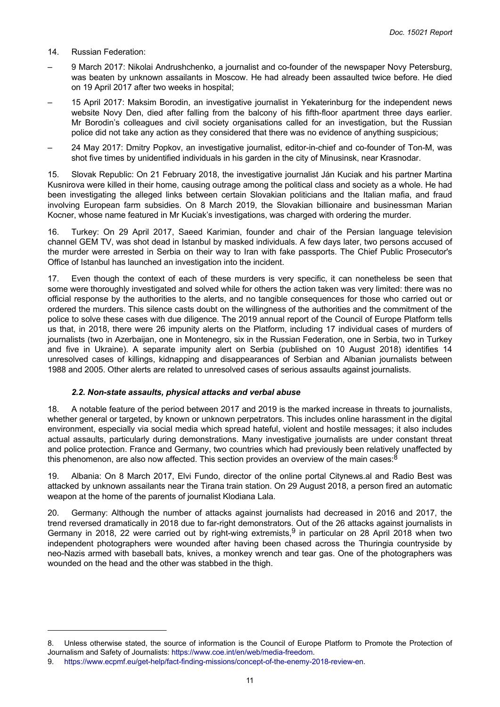- <span id="page-10-0"></span>14. Russian Federation:
- 9 March 2017: Nikolai Andrushchenko, a journalist and co-founder of the newspaper Novy Petersburg, was beaten by unknown assailants in Moscow. He had already been assaulted twice before. He died on 19 April 2017 after two weeks in hospital;
- 15 April 2017: Maksim Borodin, an investigative journalist in Yekaterinburg for the independent news website Novy Den, died after falling from the balcony of his fifth-floor apartment three days earlier. Mr Borodin's colleagues and civil society organisations called for an investigation, but the Russian police did not take any action as they considered that there was no evidence of anything suspicious;
- 24 May 2017: Dmitry Popkov, an investigative journalist, editor-in-chief and co-founder of Ton-M, was shot five times by unidentified individuals in his garden in the city of Minusinsk, near Krasnodar.

15. Slovak Republic: On 21 February 2018, the investigative journalist Ján Kuciak and his partner Martina Kusnirova were killed in their home, causing outrage among the political class and society as a whole. He had been investigating the alleged links between certain Slovakian politicians and the Italian mafia, and fraud involving European farm subsidies. On 8 March 2019, the Slovakian billionaire and businessman Marian Kocner, whose name featured in Mr Kuciak's investigations, was charged with ordering the murder.

16. Turkey: On 29 April 2017, Saeed Karimian, founder and chair of the Persian language television channel GEM TV, was shot dead in Istanbul by masked individuals. A few days later, two persons accused of the murder were arrested in Serbia on their way to Iran with fake passports. The Chief Public Prosecutor's Office of Istanbul has launched an investigation into the incident.

17. Even though the context of each of these murders is very specific, it can nonetheless be seen that some were thoroughly investigated and solved while for others the action taken was very limited: there was no official response by the authorities to the alerts, and no tangible consequences for those who carried out or ordered the murders. This silence casts doubt on the willingness of the authorities and the commitment of the police to solve these cases with due diligence. The 2019 annual report of the Council of Europe Platform tells us that, in 2018, there were 26 impunity alerts on the Platform, including 17 individual cases of murders of journalists (two in Azerbaijan, one in Montenegro, six in the Russian Federation, one in Serbia, two in Turkey and five in Ukraine). A separate impunity alert on Serbia (published on 10 August 2018) identifies 14 unresolved cases of killings, kidnapping and disappearances of Serbian and Albanian journalists between 1988 and 2005. Other alerts are related to unresolved cases of serious assaults against journalists.

#### *2.2. Non-state assaults, physical attacks and verbal abuse*

18. A notable feature of the period between 2017 and 2019 is the marked increase in threats to journalists, whether general or targeted, by known or unknown perpetrators. This includes online harassment in the digital environment, especially via social media which spread hateful, violent and hostile messages; it also includes actual assaults, particularly during demonstrations. Many investigative journalists are under constant threat and police protection. France and Germany, two countries which had previously been relatively unaffected by this phenomenon, are also now affected. This section provides an overview of the main cases:  $8^{\circ}$ 

19. Albania: On 8 March 2017, Elvi Fundo, director of the online portal Citynews.al and Radio Best was attacked by unknown assailants near the Tirana train station. On 29 August 2018, a person fired an automatic weapon at the home of the parents of journalist Klodiana Lala.

20. Germany: Although the number of attacks against journalists had decreased in 2016 and 2017, the trend reversed dramatically in 2018 due to far-right demonstrators. Out of the 26 attacks against journalists in Germany in 2018, 22 were carried out by right-wing extremists,<sup>9</sup> in particular on 28 April 2018 when two independent photographers were wounded after having been chased across the Thuringia countryside by neo-Nazis armed with baseball bats, knives, a monkey wrench and tear gas. One of the photographers was wounded on the head and the other was stabbed in the thigh.

<sup>8.</sup> Unless otherwise stated, the source of information is the Council of Europe Platform to Promote the Protection of Journalism and Safety of Journalists:<https://www.coe.int/en/web/media-freedom>.

<sup>9.</sup> [https://www.ecpmf.eu/get-help/fact-finding-missions/concept-of-the-enemy-2018-review-en.](https://www.ecpmf.eu/get-help/fact-finding-missions/concept-of-the-enemy-2018-review-en)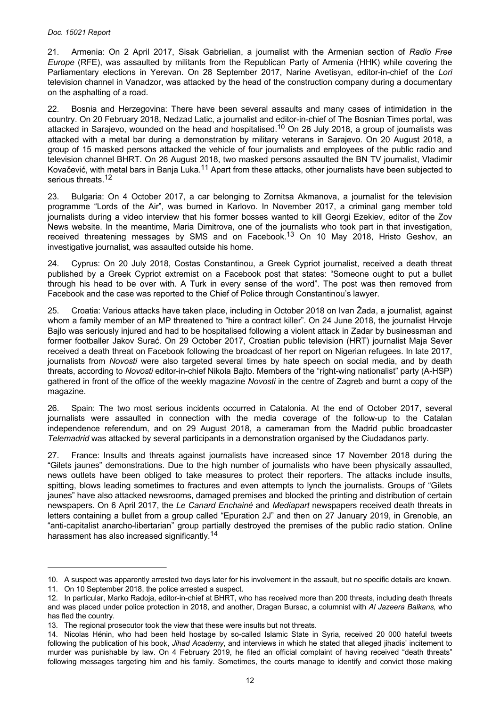#### *Doc. 15021 Report*

21. Armenia: On 2 April 2017, Sisak Gabrielian, a journalist with the Armenian section of *Radio Free Europe* (RFE), was assaulted by militants from the Republican Party of Armenia (HHK) while covering the Parliamentary elections in Yerevan. On 28 September 2017, Narine Avetisyan, editor-in-chief of the *Lori*  television channel in Vanadzor, was attacked by the head of the construction company during a documentary on the asphalting of a road.

22. Bosnia and Herzegovina: There have been several assaults and many cases of intimidation in the country. On 20 February 2018, Nedzad Latic, a journalist and editor-in-chief of The Bosnian Times portal, was attacked in Sarajevo, wounded on the head and hospitalised.<sup>10</sup> On 26 July 2018, a group of journalists was attacked with a metal bar during a demonstration by military veterans in Sarajevo. On 20 August 2018, a group of 15 masked persons attacked the vehicle of four journalists and employees of the public radio and television channel BHRT. On 26 August 2018, two masked persons assaulted the BN TV journalist, Vladimir Kovačević, with metal bars in Banja Luka.11 Apart from these attacks, other journalists have been subjected to serious threats.<sup>12</sup>

23. Bulgaria: On 4 October 2017, a car belonging to Zornitsa Akmanova, a journalist for the television programme "Lords of the Air", was burned in Karlovo. In November 2017, a criminal gang member told journalists during a video interview that his former bosses wanted to kill Georgi Ezekiev, editor of the Zov News website. In the meantime, Maria Dimitrova, one of the journalists who took part in that investigation, received threatening messages by SMS and on Facebook.<sup>13</sup> On 10 May 2018, Hristo Geshov, an investigative journalist, was assaulted outside his home.

24. Cyprus: On 20 July 2018, Costas Constantinou, a Greek Cypriot journalist, received a death threat published by a Greek Cypriot extremist on a Facebook post that states: "Someone ought to put a bullet through his head to be over with. A Turk in every sense of the word". The post was then removed from Facebook and the case was reported to the Chief of Police through Constantinou's lawyer.

25. Croatia: Various attacks have taken place, including in October 2018 on Ivan Žada, a journalist, against whom a family member of an MP threatened to "hire a contract killer". On 24 June 2018, the journalist Hrvoje Bajlo was seriously injured and had to be hospitalised following a violent attack in Zadar by businessman and former footballer Jakov Surać. On 29 October 2017, Croatian public television (HRT) journalist Maja Sever received a death threat on Facebook following the broadcast of her report on Nigerian refugees. In late 2017, journalists from *Novosti* were also targeted several times by hate speech on social media, and by death threats, according to *Novosti* editor-in-chief Nikola Bajto. Members of the "right-wing nationalist" party (A-HSP) gathered in front of the office of the weekly magazine *Novosti* in the centre of Zagreb and burnt a copy of the magazine.

26. Spain: The two most serious incidents occurred in Catalonia. At the end of October 2017, several journalists were assaulted in connection with the media coverage of the follow-up to the Catalan independence referendum, and on 29 August 2018, a cameraman from the Madrid public broadcaster *Telemadrid* was attacked by several participants in a demonstration organised by the Ciudadanos party.

27. France: Insults and threats against journalists have increased since 17 November 2018 during the "Gilets jaunes" demonstrations. Due to the high number of journalists who have been physically assaulted, news outlets have been obliged to take measures to protect their reporters. The attacks include insults, spitting, blows leading sometimes to fractures and even attempts to lynch the journalists. Groups of "Gilets jaunes" have also attacked newsrooms, damaged premises and blocked the printing and distribution of certain newspapers. On 6 April 2017, the *Le Canard Enchainé* and *Mediapart* newspapers received death threats in letters containing a bullet from a group called "Epuration 2J" and then on 27 January 2019, in Grenoble, an "anti-capitalist anarcho-libertarian" group partially destroyed the premises of the public radio station. Online harassment has also increased significantly.<sup>14</sup>

<sup>10.</sup> A suspect was apparently arrested two days later for his involvement in the assault, but no specific details are known.

<sup>11.</sup> On 10 September 2018, the police arrested a suspect.

<sup>12.</sup> In particular, Marko Radoja, editor-in-chief at BHRT, who has received more than 200 threats, including death threats and was placed under police protection in 2018, and another, Dragan Bursac, a columnist with *Al Jazeera Balkans,* who has fled the country.

<sup>13.</sup> The regional prosecutor took the view that these were insults but not threats.

<sup>14.</sup> Nicolas Hénin, who had been held hostage by so-called Islamic State in Syria, received 20 000 hateful tweets following the publication of his book, *Jihad Academy*, and interviews in which he stated that alleged jihadis' incitement to murder was punishable by law. On 4 February 2019, he filed an official complaint of having received "death threats" following messages targeting him and his family. Sometimes, the courts manage to identify and convict those making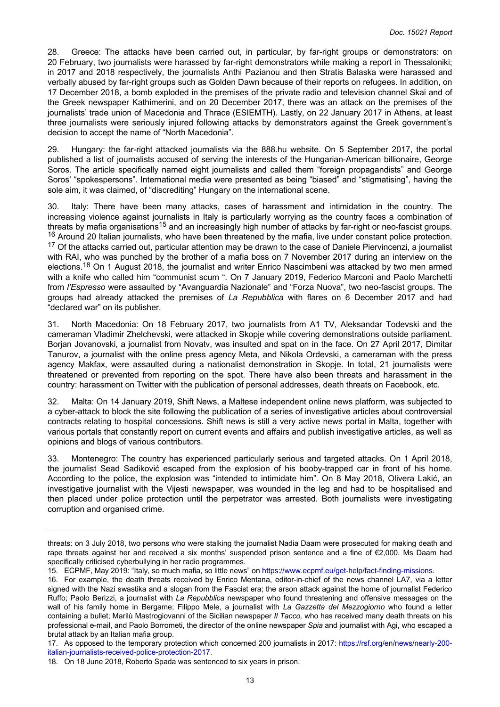28. Greece: The attacks have been carried out, in particular, by far-right groups or demonstrators: on 20 February, two journalists were harassed by far-right demonstrators while making a report in Thessaloniki; in 2017 and 2018 respectively, the journalists Anthi Pazianou and then Stratis Balaska were harassed and verbally abused by far-right groups such as Golden Dawn because of their reports on refugees. In addition, on 17 December 2018, a bomb exploded in the premises of the private radio and television channel Skai and of the Greek newspaper Kathimerini, and on 20 December 2017, there was an attack on the premises of the journalists' trade union of Macedonia and Thrace (ESIEMTH). Lastly, on 22 January 2017 in Athens, at least three journalists were seriously injured following attacks by demonstrators against the Greek government's decision to accept the name of "North Macedonia".

29. Hungary: the far-right attacked journalists via the 888.hu website. On 5 September 2017, the portal published a list of journalists accused of serving the interests of the Hungarian-American billionaire, George Soros. The article specifically named eight journalists and called them "foreign propagandists" and George Soros' "spokespersons". International media were presented as being "biased" and "stigmatising", having the sole aim, it was claimed, of "discrediting" Hungary on the international scene.

30. Italy: There have been many attacks, cases of harassment and intimidation in the country. The increasing violence against journalists in Italy is particularly worrying as the country faces a combination of threats by mafia organisations<sup>15</sup> and an increasingly high number of attacks by far-right or neo-fascist groups. <sup>16</sup> Around 20 Italian journalists, who have been threatened by the mafia, live under constant police protection. <sup>17</sup> Of the attacks carried out, particular attention may be drawn to the case of Daniele Piervincenzi, a journalist with RAI, who was punched by the brother of a mafia boss on 7 November 2017 during an interview on the elections.<sup>18</sup> On 1 August 2018, the journalist and writer Enrico Nascimbeni was attacked by two men armed with a knife who called him "communist scum ". On 7 January 2019, Federico Marconi and Paolo Marchetti from *l'Espresso* were assaulted by "Avanguardia Nazionale" and "Forza Nuova", two neo-fascist groups. The groups had already attacked the premises of *La Repubblica* with flares on 6 December 2017 and had "declared war" on its publisher.

31. North Macedonia: On 18 February 2017, two journalists from A1 TV, Aleksandar Todevski and the cameraman Vladimir Zhelchevski, were attacked in Skopje while covering demonstrations outside parliament. Borjan Jovanovski, a journalist from Novatv, was insulted and spat on in the face. On 27 April 2017, Dimitar Tanurov, a journalist with the online press agency Meta, and Nikola Ordevski, a cameraman with the press agency Makfax, were assaulted during a nationalist demonstration in Skopje. In total, 21 journalists were threatened or prevented from reporting on the spot. There have also been threats and harassment in the country: harassment on Twitter with the publication of personal addresses, death threats on Facebook, etc.

32. Malta: On 14 January 2019, Shift News, a Maltese independent online news platform, was subjected to a cyber-attack to block the site following the publication of a series of investigative articles about controversial contracts relating to hospital concessions. Shift news is still a very active news portal in Malta, together with various portals that constantly report on current events and affairs and publish investigative articles, as well as opinions and blogs of various contributors.

33. Montenegro: The country has experienced particularly serious and targeted attacks. On 1 April 2018, the journalist Sead Sadiković escaped from the explosion of his booby-trapped car in front of his home. According to the police, the explosion was "intended to intimidate him". On 8 May 2018, Olivera Lakić, an investigative journalist with the Vijesti newspaper, was wounded in the leg and had to be hospitalised and then placed under police protection until the perpetrator was arrested. Both journalists were investigating corruption and organised crime.

threats: on 3 July 2018, two persons who were stalking the journalist Nadia Daam were prosecuted for making death and rape threats against her and received a six months' suspended prison sentence and a fine of €2,000. Ms Daam had specifically criticised cyberbullying in her radio programmes.

<sup>15.</sup> ECPMF, May 2019: "Italy, so much mafia, so little news" on<https://www.ecpmf.eu/get-help/fact-finding-missions>.

<sup>16.</sup> For example, the death threats received by Enrico Mentana, editor-in-chief of the news channel LA7, via a letter signed with the Nazi swastika and a slogan from the Fascist era; the arson attack against the home of journalist Federico Ruffo; Paolo Berizzi, a journalist with *La Repubblica* newspaper who found threatening and offensive messages on the wall of his family home in Bergame; Filippo Mele, a journalist with *La Gazzetta del Mezzogiorno* who found a letter containing a bullet; Marilù Mastrogiovanni of the Sicilian newspaper *Il Tacco,* who has received many death threats on his professional e-mail, and Paolo Borrometi, the director of the online newspaper *Spia* and journalist with Agi, who escaped a brutal attack by an Italian mafia group.

<sup>17.</sup> As opposed to the temporary protection which concerned 200 journalists in 2017: [https://rsf.org/en/news/nearly-200](https://rsf.org/en/news/nearly-200-italian-journalists-received-police-protection-2017) [italian-journalists-received-police-protection-2017](https://rsf.org/en/news/nearly-200-italian-journalists-received-police-protection-2017).

<sup>18.</sup> On 18 June 2018, Roberto Spada was sentenced to six years in prison.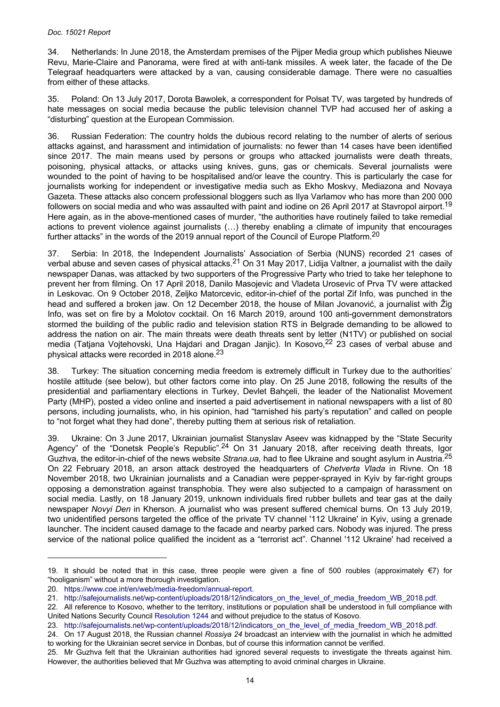34. Netherlands: In June 2018, the Amsterdam premises of the Pijper Media group which publishes Nieuwe Revu, Marie-Claire and Panorama, were fired at with anti-tank missiles. A week later, the facade of the De Telegraaf headquarters were attacked by a van, causing considerable damage. There were no casualties from either of these attacks.

35. Poland: On 13 July 2017, Dorota Bawolek, a correspondent for Polsat TV, was targeted by hundreds of hate messages on social media because the public television channel TVP had accused her of asking a "disturbing" question at the European Commission.

36. Russian Federation: The country holds the dubious record relating to the number of alerts of serious attacks against, and harassment and intimidation of journalists: no fewer than 14 cases have been identified since 2017. The main means used by persons or groups who attacked journalists were death threats, poisoning, physical attacks, or attacks using knives, guns, gas or chemicals. Several journalists were wounded to the point of having to be hospitalised and/or leave the country. This is particularly the case for journalists working for independent or investigative media such as Ekho Moskvy, Mediazona and Novaya Gazeta. These attacks also concern professional bloggers such as Ilya Varlamov who has more than 200 000 followers on social media and who was assaulted with paint and iodine on 26 April 2017 at Stavropol airport.<sup>19</sup> Here again, as in the above-mentioned cases of murder, "the authorities have routinely failed to take remedial actions to prevent violence against journalists (…) thereby enabling a climate of impunity that encourages further attacks" in the words of the 2019 annual report of the Council of Europe Platform.<sup>20</sup>

37. Serbia: In 2018, the Independent Journalists' Association of Serbia (NUNS) recorded 21 cases of verbal abuse and seven cases of physical attacks.<sup>21</sup> On 31 May 2017, Lidija Valtner, a journalist with the daily newspaper Danas, was attacked by two supporters of the Progressive Party who tried to take her telephone to prevent her from filming. On 17 April 2018, Danilo Masojevic and Vladeta Urosevic of Prva TV were attacked in Leskovac. On 9 October 2018, Zeljko Matorcevic, editor-in-chief of the portal Zif Info, was punched in the head and suffered a broken jaw. On 12 December 2018, the house of Milan Jovanović, a journalist with Žig Info, was set on fire by a Molotov cocktail. On 16 March 2019, around 100 anti-government demonstrators stormed the building of the public radio and television station RTS in Belgrade demanding to be allowed to address the nation on air. The main threats were death threats sent by letter (N1TV) or published on social media (Tatjana Vojtehovski, Una Hajdari and Dragan Janjic). In Kosovo, 22 23 cases of verbal abuse and physical attacks were recorded in 2018 alone.<sup>23</sup>

38. Turkey: The situation concerning media freedom is extremely difficult in Turkey due to the authorities' hostile attitude (see below), but other factors come into play. On 25 June 2018, following the results of the presidential and parliamentary elections in Turkey, Devlet Bahçeli, the leader of the Nationalist Movement Party (MHP), posted a video online and inserted a paid advertisement in national newspapers with a list of 80 persons, including journalists, who, in his opinion, had "tarnished his party's reputation" and called on people to "not forget what they had done", thereby putting them at serious risk of retaliation.

39. Ukraine: On 3 June 2017, Ukrainian journalist Stanyslav Aseev was kidnapped by the "State Security Agency" of the "Donetsk People's Republic".<sup>24</sup> On 31 January 2018, after receiving death threats, Igor Guzhva, the editor-in-chief of the news website *Strana.ua,* had to flee Ukraine and sought asylum in Austria.<sup>25</sup> On 22 February 2018, an arson attack destroyed the headquarters of *Chetverta Vlada* in Rivne. On 18 November 2018, two Ukrainian journalists and a Canadian were pepper-sprayed in Kyiv by far-right groups opposing a demonstration against transphobia. They were also subjected to a campaign of harassment on social media. Lastly, on 18 January 2019, unknown individuals fired rubber bullets and tear gas at the daily newspaper *Novyi Den* in Kherson. A journalist who was present suffered chemical burns. On 13 July 2019, two unidentified persons targeted the office of the private TV channel '112 Ukraine' in Kyiv, using a grenade launcher. The incident caused damage to the facade and nearby parked cars. Nobody was injured. The press service of the national police qualified the incident as a "terrorist act". Channel '112 Ukraine' had received a

<sup>19.</sup> It should be noted that in this case, three people were given a fine of 500 roubles (approximately €7) for "hooliganism" without a more thorough investigation.

<sup>20.</sup> [https://www.coe.int/en/web/media-freedom/annual-report.](https://www.coe.int/en/web/media-freedom/annual-report)

<sup>21.</sup> [http://safejournalists.net/wp-content/uploads/2018/12/indicators\\_on\\_the\\_level\\_of\\_media\\_freedom\\_WB\\_2018.pdf.](http://safejournalists.net/wp-content/uploads/2018/12/indicators_on_the_level_of_media_freedom_WB_2018.pdf)

<sup>22.</sup> All reference to Kosovo, whether to the territory, institutions or population shall be understood in full compliance with United Nations Security Council [Resolution 1244](http://assembly.coe.int/nw/xml/XRef/Xref-DocDetails-en.asp?FileId=16901) and without prejudice to the status of Kosovo.

<sup>23.</sup> [http://safejournalists.net/wp-content/uploads/2018/12/indicators\\_on\\_the\\_level\\_of\\_media\\_freedom\\_WB\\_2018.pdf.](http://safejournalists.net/wp-content/uploads/2018/12/indicators_on_the_level_of_media_freedom_WB_2018.pdf)

<sup>24.</sup> On 17 August 2018, the Russian channel *Rossiya 24* broadcast an interview with the journalist in which he admitted to working for the Ukrainian secret service in Donbas, but of course this information cannot be verified.

<sup>25.</sup> Mr Guzhva felt that the Ukrainian authorities had ignored several requests to investigate the threats against him. However, the authorities believed that Mr Guzhva was attempting to avoid criminal charges in Ukraine.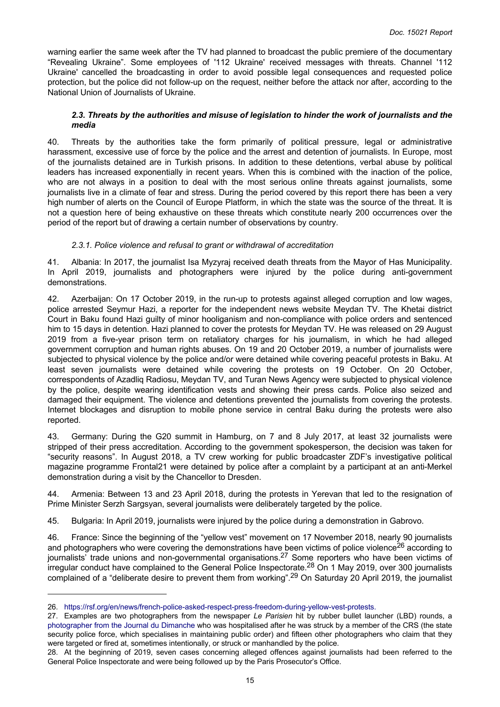<span id="page-14-0"></span>warning earlier the same week after the TV had planned to broadcast the public premiere of the documentary "Revealing Ukraine". Some employees of '112 Ukraine' received messages with threats. Channel '112 Ukraine' cancelled the broadcasting in order to avoid possible legal consequences and requested police protection, but the police did not follow-up on the request, neither before the attack nor after, according to the National Union of Journalists of Ukraine.

#### *2.3. Threats by the authorities and misuse of legislation to hinder the work of journalists and the media*

40. Threats by the authorities take the form primarily of political pressure, legal or administrative harassment, excessive use of force by the police and the arrest and detention of journalists. In Europe, most of the journalists detained are in Turkish prisons. In addition to these detentions, verbal abuse by political leaders has increased exponentially in recent years. When this is combined with the inaction of the police, who are not always in a position to deal with the most serious online threats against journalists, some journalists live in a climate of fear and stress. During the period covered by this report there has been a very high number of alerts on the Council of Europe Platform, in which the state was the source of the threat. It is not a question here of being exhaustive on these threats which constitute nearly 200 occurrences over the period of the report but of drawing a certain number of observations by country.

# *2.3.1. Police violence and refusal to grant or withdrawal of accreditation*

41. Albania: In 2017, the journalist Isa Myzyraj received death threats from the Mayor of Has Municipality. In April 2019, journalists and photographers were injured by the police during anti-government demonstrations.

42. Azerbaijan: On 17 October 2019, in the run-up to protests against alleged corruption and low wages, police arrested Seymur Hazi, a reporter for the independent news website Meydan TV. The Khetai district Court in Baku found Hazi guilty of minor hooliganism and non-compliance with police orders and sentenced him to 15 days in detention. Hazi planned to cover the protests for Meydan TV. He was released on 29 August 2019 from a five-year prison term on retaliatory charges for his journalism, in which he had alleged government corruption and human rights abuses. On 19 and 20 October 2019, a number of journalists were subjected to physical violence by the police and/or were detained while covering peaceful protests in Baku. At least seven journalists were detained while covering the protests on 19 October. On 20 October, correspondents of Azadliq Radiosu, Meydan TV, and Turan News Agency were subjected to physical violence by the police, despite wearing identification vests and showing their press cards. Police also seized and damaged their equipment. The violence and detentions prevented the journalists from covering the protests. Internet blockages and disruption to mobile phone service in central Baku during the protests were also reported.

43. Germany: During the G20 summit in Hamburg, on 7 and 8 July 2017, at least 32 journalists were stripped of their press accreditation. According to the government spokesperson, the decision was taken for "security reasons". In August 2018, a TV crew working for public broadcaster ZDF's investigative political magazine programme Frontal21 were detained by police after a complaint by a participant at an anti-Merkel demonstration during a visit by the Chancellor to Dresden.

44. Armenia: Between 13 and 23 April 2018, during the protests in Yerevan that led to the resignation of Prime Minister Serzh Sargsyan, several journalists were deliberately targeted by the police.

45. Bulgaria: In April 2019, journalists were injured by the police during a demonstration in Gabrovo.

46. France: Since the beginning of the "yellow vest" movement on 17 November 2018, nearly 90 journalists and photographers who were covering the demonstrations have been victims of police violence<sup>26</sup> according to journalists' trade unions and non-governmental organisations.<sup>27</sup> Some reporters who have been victims of irregular conduct have complained to the General Police Inspectorate.28 On 1 May 2019, over 300 journalists complained of a "deliberate desire to prevent them from working".<sup>29</sup> On Saturday 20 April 2019, the journalist

<sup>26.</sup> [https://rsf.org/en/news/french-police-asked-respect-press-freedom-during-yellow-vest-protests.](https://rsf.org/en/news/french-police-asked-respect-press-freedom-during-yellow-vest-protests)

<sup>27.</sup> Examples are two photographers from the newspaper *Le Parisien* hit by rubber bullet launcher (LBD) rounds, a [photographer from the Journal du Dimanche](https://www.lejdd.fr/Societe/gilets-jaunes-un-photographe-du-jdd-blesse-sur-les-champs-elysees-3816494) who was hospitalised after he was struck by a member of the CRS (the state security police force, which specialises in maintaining public order) and fifteen other photographers who claim that they were targeted or fired at, sometimes intentionally, or struck or manhandled by the police.

<sup>28.</sup> At the beginning of 2019, seven cases concerning alleged offences against journalists had been referred to the General Police Inspectorate and were being followed up by the Paris Prosecutor's Office.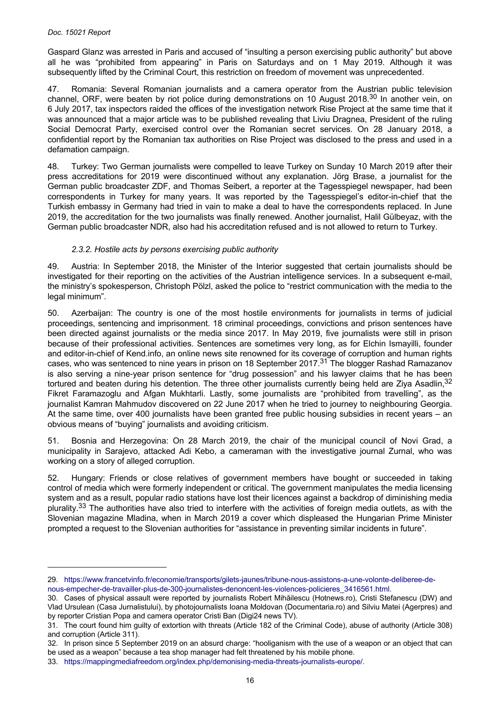Gaspard Glanz was arrested in Paris and accused of "insulting a person exercising public authority" but above all he was "prohibited from appearing" in Paris on Saturdays and on 1 May 2019. Although it was subsequently lifted by the Criminal Court, this restriction on freedom of movement was unprecedented.

47. Romania: Several Romanian journalists and a camera operator from the Austrian public television channel, ORF, were beaten by riot police during demonstrations on 10 August 2018.<sup>30</sup> In another vein, on 6 July 2017, tax inspectors raided the offices of the investigation network Rise Project at the same time that it was announced that a major article was to be published revealing that Liviu Dragnea, President of the ruling Social Democrat Party, exercised control over the Romanian secret services. On 28 January 2018, a confidential report by the Romanian tax authorities on Rise Project was disclosed to the press and used in a defamation campaign.

48. Turkey: Two German journalists were compelled to leave Turkey on Sunday 10 March 2019 after their press accreditations for 2019 were discontinued without any explanation. Jörg Brase, a journalist for the German public broadcaster ZDF, and Thomas Seibert, a reporter at the Tagesspiegel newspaper, had been correspondents in Turkey for many years. It was reported by the Tagesspiegel's editor-in-chief that the Turkish embassy in Germany had tried in vain to make a deal to have the correspondents replaced. In June 2019, the accreditation for the two journalists was finally renewed. Another journalist, Halil Gülbeyaz, with the German public broadcaster NDR, also had his accreditation refused and is not allowed to return to Turkey.

### *2.3.2. Hostile acts by persons exercising public authority*

49. Austria: In September 2018, the Minister of the Interior suggested that certain journalists should be investigated for their reporting on the activities of the Austrian intelligence services. In a subsequent e-mail, the ministry's spokesperson, Christoph Pölzl, asked the police to "restrict communication with the media to the legal minimum".

50. Azerbaijan: The country is one of the most hostile environments for journalists in terms of judicial proceedings, sentencing and imprisonment. 18 criminal proceedings, convictions and prison sentences have been directed against journalists or the media since 2017. In May 2019, five journalists were still in prison because of their professional activities. Sentences are sometimes very long, as for Elchin Ismayilli, founder and editor-in-chief of Kend.info, an online news site renowned for its coverage of corruption and human rights cases, who was sentenced to nine years in prison on 18 September 2017.<sup>31</sup> The blogger Rashad Ramazanov is also serving a nine-year prison sentence for "drug possession" and his lawyer claims that he has been tortured and beaten during his detention. The three other journalists currently being held are Ziya Asadlin.<sup>32</sup> Fikret Faramazoglu and Afgan Mukhtarli. Lastly, some journalists are "prohibited from travelling", as the journalist Kamran Mahmudov discovered on 22 June 2017 when he tried to journey to neighbouring Georgia. At the same time, over 400 journalists have been granted free public housing subsidies in recent years – an obvious means of "buying" journalists and avoiding criticism.

51. Bosnia and Herzegovina: On 28 March 2019, the chair of the municipal council of Novi Grad, a municipality in Sarajevo, attacked Adi Kebo, a cameraman with the investigative journal Zurnal, who was working on a story of alleged corruption.

52. Hungary: Friends or close relatives of government members have bought or succeeded in taking control of media which were formerly independent or critical. The government manipulates the media licensing system and as a result, popular radio stations have lost their licences against a backdrop of diminishing media plurality.<sup>33</sup> The authorities have also tried to interfere with the activities of foreign media outlets, as with the Slovenian magazine Mladina, when in March 2019 a cover which displeased the Hungarian Prime Minister prompted a request to the Slovenian authorities for "assistance in preventing similar incidents in future".

<sup>29.</sup> [https://www.francetvinfo.fr/economie/transports/gilets-jaunes/tribune-nous-assistons-a-une-volonte-deliberee-de](https://www.francetvinfo.fr/economie/transports/gilets-jaunes/tribune-nous-assistons-a-une-volonte-deliberee-de-nous-empecher-de-travailler-plus-de-300-journalistes-denoncent-les-violences-policieres_3416561.html)[nous-empecher-de-travailler-plus-de-300-journalistes-denoncent-les-violences-policieres\\_3416561.html.](https://www.francetvinfo.fr/economie/transports/gilets-jaunes/tribune-nous-assistons-a-une-volonte-deliberee-de-nous-empecher-de-travailler-plus-de-300-journalistes-denoncent-les-violences-policieres_3416561.html)

<sup>30.</sup> Cases of physical assault were reported by journalists Robert Mihăilescu (Hotnews.ro), Cristi Stefanescu (DW) and Vlad Ursulean (Casa Jurnalistului), by photojournalists Ioana Moldovan (Documentaria.ro) and Silviu Matei (Agerpres) and by reporter Cristian Popa and camera operator Cristi Ban (Digi24 news TV).

<sup>31.</sup> The court found him guilty of extortion with threats (Article 182 of the Criminal Code), abuse of authority (Article 308) and corruption (Article 311).

<sup>32.</sup> In prison since 5 September 2019 on an absurd charge: "hooliganism with the use of a weapon or an object that can be used as a weapon" because a tea shop manager had felt threatened by his mobile phone.

<sup>33.</sup> [https://mappingmediafreedom.org/index.php/demonising-media-threats-journalists-europe/.](https://mappingmediafreedom.org/index.php/demonising-media-threats-journalists-europe/)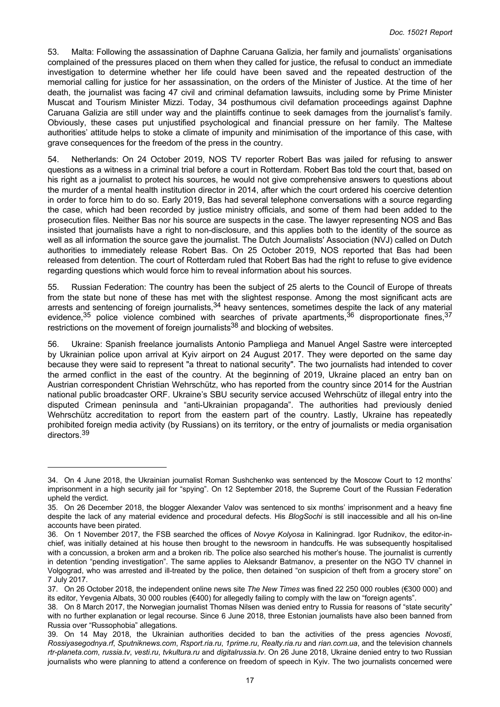53. Malta: Following the assassination of Daphne Caruana Galizia, her family and journalists' organisations complained of the pressures placed on them when they called for justice, the refusal to conduct an immediate investigation to determine whether her life could have been saved and the repeated destruction of the memorial calling for justice for her assassination, on the orders of the Minister of Justice. At the time of her death, the journalist was facing 47 civil and criminal defamation lawsuits, including some by Prime Minister Muscat and Tourism Minister Mizzi. Today, 34 posthumous civil defamation proceedings against Daphne Caruana Galizia are still under way and the plaintiffs continue to seek damages from the journalist's family. Obviously, these cases put unjustified psychological and financial pressure on her family. The Maltese authorities' attitude helps to stoke a climate of impunity and minimisation of the importance of this case, with grave consequences for the freedom of the press in the country.

54. Netherlands: On 24 October 2019, NOS TV reporter Robert Bas was jailed for refusing to answer questions as a witness in a criminal trial before a court in Rotterdam. Robert Bas told the court that, based on his right as a journalist to protect his sources, he would not give comprehensive answers to questions about the murder of a mental health institution director in 2014, after which the court ordered his coercive detention in order to force him to do so. Early 2019, Bas had several telephone conversations with a source regarding the case, which had been recorded by justice ministry officials, and some of them had been added to the prosecution files. Neither Bas nor his source are suspects in the case. The lawyer representing NOS and Bas insisted that journalists have a right to non-disclosure, and this applies both to the identity of the source as well as all information the source gave the journalist. The Dutch Journalists' Association (NVJ) called on Dutch authorities to immediately release Robert Bas. On 25 October 2019, NOS reported that Bas had been released from detention. The court of Rotterdam ruled that Robert Bas had the right to refuse to give evidence regarding questions which would force him to reveal information about his sources.

55. Russian Federation: The country has been the subject of 25 alerts to the Council of Europe of threats from the state but none of these has met with the slightest response. Among the most significant acts are arrests and sentencing of foreign journalists,  $34$  heavy sentences, sometimes despite the lack of any material evidence,  $35$  police violence combined with searches of private apartments,  $36$  disproportionate fines,  $37$ restrictions on the movement of foreign journalists<sup>38</sup> and blocking of websites.

56. Ukraine: Spanish freelance journalists Antonio Pampliega and Manuel Angel Sastre were intercepted by Ukrainian police upon arrival at Kyiv airport on 24 August 2017. They were deported on the same day because they were said to represent "a threat to national security". The two journalists had intended to cover the armed conflict in the east of the country. At the beginning of 2019, Ukraine placed an entry ban on Austrian correspondent Christian Wehrschütz, who has reported from the country since 2014 for the Austrian national public broadcaster ORF. Ukraine's SBU security service accused Wehrschütz of illegal entry into the disputed Crimean peninsula and "anti-Ukrainian propaganda". The authorities had previously denied Wehrschütz accreditation to report from the eastern part of the country. Lastly, Ukraine has repeatedly prohibited foreign media activity (by Russians) on its territory, or the entry of journalists or media organisation directors.<sup>39</sup>

<sup>34.</sup> On 4 June 2018, the Ukrainian journalist Roman Sushchenko was sentenced by the Moscow Court to 12 months' imprisonment in a high security jail for "spying". On 12 September 2018, the Supreme Court of the Russian Federation upheld the verdict.

<sup>35.</sup> On 26 December 2018, the blogger Alexander Valov was sentenced to six months' imprisonment and a heavy fine despite the lack of any material evidence and procedural defects. His *BlogSochi* is still inaccessible and all his on-line accounts have been pirated.

<sup>36.</sup> On 1 November 2017, the FSB searched the offices of *Novye Kolyosa* in Kaliningrad. Igor Rudnikov, the editor-inchief, was initially detained at his house then brought to the newsroom in handcuffs. He was subsequently hospitalised with a concussion, a broken arm and a broken rib. The police also searched his mother's house. The journalist is currently in detention "pending investigation". The same applies to Aleksandr Batmanov, a presenter on the NGO TV channel in Volgograd, who was arrested and ill-treated by the police, then detained "on suspicion of theft from a grocery store" on 7 July 2017.

<sup>37.</sup> On 26 October 2018, the independent online news site *The New Times* was fined 22 250 000 roubles (€300 000) and its editor, Yevgenia Albats, 30 000 roubles (€400) for allegedly failing to comply with the law on "foreign agents".

<sup>38.</sup> On 8 March 2017, the Norwegian journalist Thomas Nilsen was denied entry to Russia for reasons of "state security" with no further explanation or legal recourse. Since 6 June 2018, three Estonian journalists have also been banned from Russia over "Russophobia" allegations.

<sup>39.</sup> On 14 May 2018, the Ukrainian authorities decided to ban the activities of the press agencies *Novosti*, *Rossiyasegodnya.rf*, *Sputniknews.com*, *Rsport.ria.ru*, *1prime.ru*, *Realty.ria.ru* and *rian.com.ua*, and the television channels *rtr-planeta.com*, *russia.tv*, *vesti.ru*, *tvkultura.ru* and *digitalrussia.tv*. On 26 June 2018, Ukraine denied entry to two Russian journalists who were planning to attend a conference on freedom of speech in Kyiv. The two journalists concerned were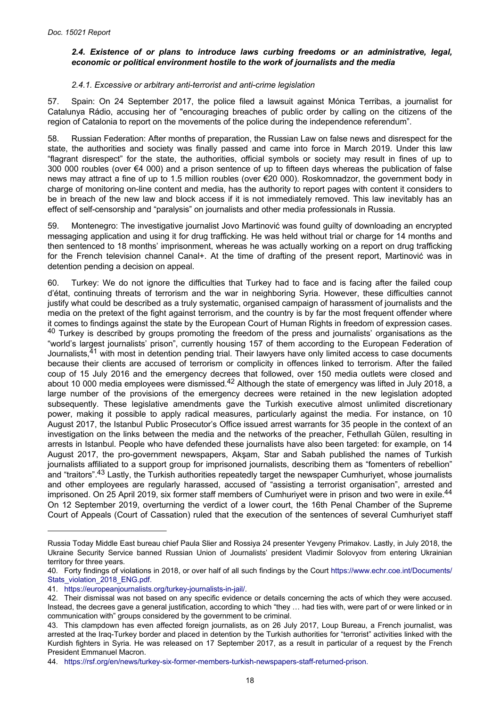### <span id="page-17-0"></span>*2.4. Existence of or plans to introduce laws curbing freedoms or an administrative, legal, economic or political environment hostile to the work of journalists and the media*

### *2.4.1. Excessive or arbitrary anti-terrorist and anti-crime legislation*

57. Spain: On 24 September 2017, the police filed a lawsuit against Mónica Terribas, a journalist for Catalunya Rádio, accusing her of "encouraging breaches of public order by calling on the citizens of the region of Catalonia to report on the movements of the police during the independence referendum".

58. Russian Federation: After months of preparation, the Russian Law on false news and disrespect for the state, the authorities and society was finally passed and came into force in March 2019. Under this law "flagrant disrespect" for the state, the authorities, official symbols or society may result in fines of up to 300 000 roubles (over €4 000) and a prison sentence of up to fifteen days whereas the publication of false news may attract a fine of up to 1.5 million roubles (over €20 000). Roskomnadzor, the government body in charge of monitoring on-line content and media, has the authority to report pages with content it considers to be in breach of the new law and block access if it is not immediately removed. This law inevitably has an effect of self-censorship and "paralysis" on journalists and other media professionals in Russia.

59. Montenegro: The investigative journalist Jovo Martinović was found guilty of downloading an encrypted messaging application and using it for drug trafficking. He was held without trial or charge for 14 months and then sentenced to 18 months' imprisonment, whereas he was actually working on a report on drug trafficking for the French television channel Canal+. At the time of drafting of the present report, Martinović was in detention pending a decision on appeal.

60. Turkey: We do not ignore the difficulties that Turkey had to face and is facing after the failed coup d'état, continuing threats of terrorism and the war in neighboring Syria. However, these difficulties cannot justify what could be described as a truly systematic, organised campaign of harassment of journalists and the media on the pretext of the fight against terrorism, and the country is by far the most frequent offender where it comes to findings against the state by the European Court of Human Rights in freedom of expression cases. <sup>40</sup> Turkey is described by groups promoting the freedom of the press and journalists' organisations as the "world's largest journalists' prison", currently housing 157 of them according to the European Federation of Journalists.<sup>41</sup> with most in detention pending trial. Their lawyers have only limited access to case documents because their clients are accused of terrorism or complicity in offences linked to terrorism. After the failed coup of 15 July 2016 and the emergency decrees that followed, over 150 media outlets were closed and about 10 000 media employees were dismissed.<sup>42</sup> Although the state of emergency was lifted in July 2018, a large number of the provisions of the emergency decrees were retained in the new legislation adopted subsequently. These legislative amendments gave the Turkish executive almost unlimited discretionary power, making it possible to apply radical measures, particularly against the media. For instance, on 10 August 2017, the Istanbul Public Prosecutor's Office issued arrest warrants for 35 people in the context of an investigation on the links between the media and the networks of the preacher, Fethullah Gülen, resulting in arrests in Istanbul. People who have defended these journalists have also been targeted: for example, on 14 August 2017, the pro-government newspapers, Akşam, Star and Sabah published the names of Turkish journalists affiliated to a support group for imprisoned journalists, describing them as "fomenters of rebellion" and "traitors".43 Lastly, the Turkish authorities repeatedly target the newspaper Cumhuriyet, whose journalists and other employees are regularly harassed, accused of "assisting a terrorist organisation", arrested and imprisoned. On 25 April 2019, six former staff members of Cumhuriyet were in prison and two were in exile.<sup>44</sup> On 12 September 2019, overturning the verdict of a lower court, the 16th Penal Chamber of the Supreme Court of Appeals (Court of Cassation) ruled that the execution of the sentences of several Cumhuriyet staff

Russia Today Middle East bureau chief Paula Slier and Rossiya 24 presenter Yevgeny Primakov. Lastly, in July 2018, the Ukraine Security Service banned Russian Union of Journalists' president Vladimir Solovyov from entering Ukrainian territory for three years.

<sup>40.</sup> Forty findings of violations in 2018, or over half of all such findings by the Court [https://www.echr.coe.int/Documents/](https://www.echr.coe.int/Documents/Stats_violation_2018_ENG.pdf) [Stats\\_violation\\_2018\\_ENG.pdf.](https://www.echr.coe.int/Documents/Stats_violation_2018_ENG.pdf)

<sup>41.</sup> [https://europeanjournalists.org/turkey-journalists-in-jail/.](https://europeanjournalists.org/turkey-journalists-in-jail/)

<sup>42.</sup> Their dismissal was not based on any specific evidence or details concerning the acts of which they were accused. Instead, the decrees gave a general justification, according to which "they … had ties with, were part of or were linked or in communication with" groups considered by the government to be criminal.

<sup>43.</sup> This clampdown has even affected foreign journalists, as on 26 July 2017, Loup Bureau, a French journalist, was arrested at the Iraq-Turkey border and placed in detention by the Turkish authorities for "terrorist" activities linked with the Kurdish fighters in Syria. He was released on 17 September 2017, as a result in particular of a request by the French President Emmanuel Macron.

<sup>44.</sup> [https://rsf.org/en/news/turkey-six-former-members-turkish-newspapers-staff-returned-prison.](https://rsf.org/en/news/turkey-six-former-members-turkish-newspapers-staff-returned-prison)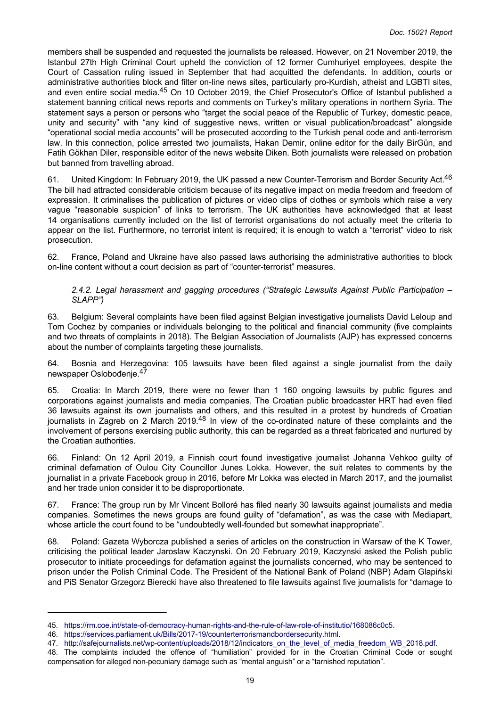members shall be suspended and requested the journalists be released. However, on 21 November 2019, the Istanbul 27th High Criminal Court upheld the conviction of 12 former Cumhuriyet employees, despite the Court of Cassation ruling issued in September that had acquitted the defendants. In addition, courts or administrative authorities block and filter on-line news sites, particularly pro-Kurdish, atheist and LGBTI sites, and even entire social media.<sup>45</sup> On 10 October 2019, the Chief Prosecutor's Office of Istanbul published a statement banning critical news reports and comments on Turkey's military operations in northern Syria. The statement says a person or persons who "target the social peace of the Republic of Turkey, domestic peace, unity and security" with "any kind of suggestive news, written or visual publication/broadcast" alongside "operational social media accounts" will be prosecuted according to the Turkish penal code and anti-terrorism law. In this connection, police arrested two journalists, Hakan Demir, online editor for the daily BirGün, and Fatih Gökhan Diler, responsible editor of the news website Diken. Both journalists were released on probation but banned from travelling abroad.

61. United Kingdom: In February 2019, the UK passed a new Counter-Terrorism and Border Security Act.<sup>46</sup> The bill had attracted considerable criticism because of its negative impact on media freedom and freedom of expression. It criminalises the publication of pictures or video clips of clothes or symbols which raise a very vague "reasonable suspicion" of links to terrorism. The UK authorities have acknowledged that at least 14 organisations currently included on the list of terrorist organisations do not actually meet the criteria to appear on the list. Furthermore, no terrorist intent is required; it is enough to watch a "terrorist" video to risk prosecution.

62. France, Poland and Ukraine have also passed laws authorising the administrative authorities to block on-line content without a court decision as part of "counter-terrorist" measures.

### *2.4.2. Legal harassment and gagging procedures ("Strategic Lawsuits Against Public Participation – SLAPP")*

63. Belgium: Several complaints have been filed against Belgian investigative journalists David Leloup and Tom Cochez by companies or individuals belonging to the political and financial community (five complaints and two threats of complaints in 2018). The Belgian Association of Journalists (AJP) has expressed concerns about the number of complaints targeting these journalists.

64. Bosnia and Herzegovina: 105 lawsuits have been filed against a single journalist from the daily newspaper Oslobođenje.<sup>47</sup>

65. Croatia: In March 2019, there were no fewer than 1 160 ongoing lawsuits by public figures and corporations against journalists and media companies. The Croatian public broadcaster HRT had even filed 36 lawsuits against its own journalists and others, and this resulted in a protest by hundreds of Croatian journalists in Zagreb on 2 March 2019.<sup>48</sup> In view of the co-ordinated nature of these complaints and the involvement of persons exercising public authority, this can be regarded as a threat fabricated and nurtured by the Croatian authorities.

66. Finland: On 12 April 2019, a Finnish court found investigative journalist Johanna Vehkoo guilty of criminal defamation of Oulou City Councillor Junes Lokka. However, the suit relates to comments by the journalist in a private Facebook group in 2016, before Mr Lokka was elected in March 2017, and the journalist and her trade union consider it to be disproportionate.

67. France: The group run by Mr Vincent Bolloré has filed nearly 30 lawsuits against journalists and media companies. Sometimes the news groups are found guilty of "defamation", as was the case with Mediapart, whose article the court found to be "undoubtedly well-founded but somewhat inappropriate".

68. Poland: Gazeta Wyborcza published a series of articles on the construction in Warsaw of the K Tower, criticising the political leader Jaroslaw Kaczynski. On 20 February 2019, Kaczynski asked the Polish public prosecutor to initiate proceedings for defamation against the journalists concerned, who may be sentenced to prison under the Polish Criminal Code. The President of the National Bank of Poland (NBP) Adam Glapiński and PiS Senator Grzegorz Bierecki have also threatened to file lawsuits against five journalists for "damage to

<sup>45.</sup> [https://rm.coe.int/state-of-democracy-human-rights-and-the-rule-of-law-role-of-institutio/168086c0c5.](https://rm.coe.int/state-of-democracy-human-rights-and-the-rule-of-law-role-of-institutio/168086c0c5)

<sup>46.</sup> <https://services.parliament.uk/Bills/2017-19/counterterrorismandbordersecurity.html>.

<sup>47.</sup> [http://safejournalists.net/wp-content/uploads/2018/12/indicators\\_on\\_the\\_level\\_of\\_media\\_freedom\\_WB\\_2018.pdf.](http://safejournalists.net/wp-content/uploads/2018/12/indicators_on_the_level_of_media_freedom_WB_2018.pdf)

<sup>48.</sup> The complaints included the offence of "humiliation" provided for in the Croatian Criminal Code or sought compensation for alleged non-pecuniary damage such as "mental anguish" or a "tarnished reputation".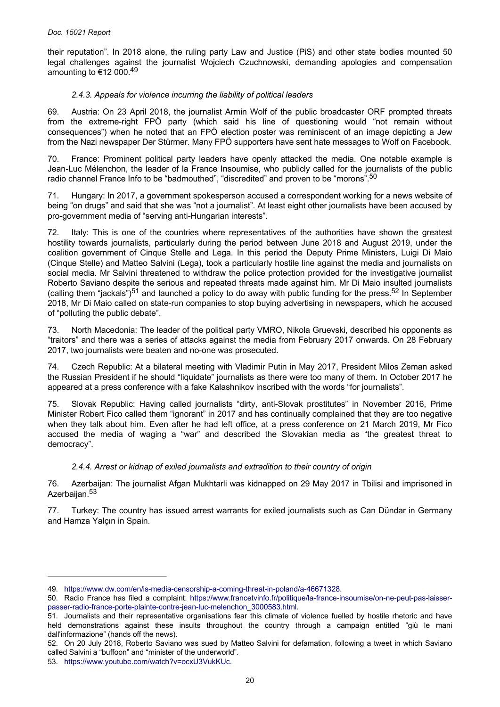their reputation". In 2018 alone, the ruling party Law and Justice (PiS) and other state bodies mounted 50 legal challenges against the journalist Wojciech Czuchnowski, demanding apologies and compensation amounting to €12 000.<sup>49</sup>

## *2.4.3. Appeals for violence incurring the liability of political leaders*

69. Austria: On 23 April 2018, the journalist Armin Wolf of the public broadcaster ORF prompted threats from the extreme-right FPÖ party (which said his line of questioning would "not remain without consequences") when he noted that an FPÖ election poster was reminiscent of an image depicting a Jew from the Nazi newspaper Der Stürmer. Many FPÖ supporters have sent hate messages to Wolf on Facebook.

70. France: Prominent political party leaders have openly attacked the media. One notable example is Jean-Luc Mélenchon, the leader of la France Insoumise, who publicly called for the journalists of the public radio channel France Info to be "badmouthed", "discredited" and proven to be "morons".<sup>50</sup>

71. Hungary: In 2017, a government spokesperson accused a correspondent working for a news website of being "on drugs" and said that she was "not a journalist". At least eight other journalists have been accused by pro-government media of "serving anti-Hungarian interests".

72. Italy: This is one of the countries where representatives of the authorities have shown the greatest hostility towards journalists, particularly during the period between June 2018 and August 2019, under the coalition government of Cinque Stelle and Lega. In this period the Deputy Prime Ministers, Luigi Di Maio (Cinque Stelle) and Matteo Salvini (Lega), took a particularly hostile line against the media and journalists on social media. Mr Salvini threatened to withdraw the police protection provided for the investigative journalist Roberto Saviano despite the serious and repeated threats made against him. Mr Di Maio insulted journalists (calling them "jackals")<sup>51</sup> and launched a policy to do away with public funding for the press.<sup>52</sup> In September 2018, Mr Di Maio called on state-run companies to stop buying advertising in newspapers, which he accused of "polluting the public debate".

73. North Macedonia: The leader of the political party VMRO, Nikola Gruevski, described his opponents as "traitors" and there was a series of attacks against the media from February 2017 onwards. On 28 February 2017, two journalists were beaten and no-one was prosecuted.

74. Czech Republic: At a bilateral meeting with Vladimir Putin in May 2017, President Milos Zeman asked the Russian President if he should "liquidate" journalists as there were too many of them. In October 2017 he appeared at a press conference with a fake Kalashnikov inscribed with the words "for journalists".

75. Slovak Republic: Having called journalists "dirty, anti-Slovak prostitutes" in November 2016, Prime Minister Robert Fico called them "ignorant" in 2017 and has continually complained that they are too negative when they talk about him. Even after he had left office, at a press conference on 21 March 2019, Mr Fico accused the media of waging a "war" and described the Slovakian media as "the greatest threat to democracy".

### *2.4.4. Arrest or kidnap of exiled journalists and extradition to their country of origin*

76. Azerbaijan: The journalist Afgan Mukhtarli was kidnapped on 29 May 2017 in Tbilisi and imprisoned in Azerbaijan.<sup>53</sup>

77. Turkey: The country has issued arrest warrants for exiled journalists such as Can Dündar in Germany and Hamza Yalçın in Spain.

<sup>49.</sup> [https://www.dw.com/en/is-media-censorship-a-coming-threat-in-poland/a-46671328.](https://www.dw.com/en/is-media-censorship-a-coming-threat-in-poland/a-46671328)

<sup>50.</sup> Radio France has filed a complaint: [https://www.francetvinfo.fr/politique/la-france-insoumise/on-ne-peut-pas-laisser](https://www.francetvinfo.fr/politique/la-france-insoumise/on-ne-peut-pas-laisser-passer-radio-france-porte-plainte-contre-jean-luc-melenchon_3000583.html)[passer-radio-france-porte-plainte-contre-jean-luc-melenchon\\_3000583.html](https://www.francetvinfo.fr/politique/la-france-insoumise/on-ne-peut-pas-laisser-passer-radio-france-porte-plainte-contre-jean-luc-melenchon_3000583.html).

<sup>51.</sup> Journalists and their representative organisations fear this climate of violence fuelled by hostile rhetoric and have held demonstrations against these insults throughout the country through a campaign entitled "giù le mani dall'informazione" (hands off the news).

<sup>52.</sup> On 20 July 2018, Roberto Saviano was sued by Matteo Salvini for defamation, following a tweet in which Saviano called Salvini a "buffoon" and "minister of the underworld".

<sup>53.</sup> [https://www.youtube.com/watch?v=ocxU3VukKUc.](https://www.youtube.com/watch?v=ocxU3VukKUc)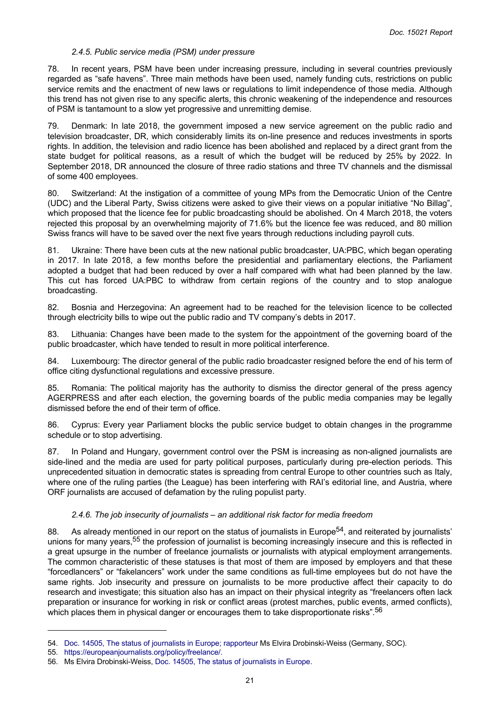#### *2.4.5. Public service media (PSM) under pressure*

78. In recent years, PSM have been under increasing pressure, including in several countries previously regarded as "safe havens". Three main methods have been used, namely funding cuts, restrictions on public service remits and the enactment of new laws or regulations to limit independence of those media. Although this trend has not given rise to any specific alerts, this chronic weakening of the independence and resources of PSM is tantamount to a slow yet progressive and unremitting demise.

79. Denmark: In late 2018, the government imposed a new service agreement on the public radio and television broadcaster, DR, which considerably limits its on-line presence and reduces investments in sports rights. In addition, the television and radio licence has been abolished and replaced by a direct grant from the state budget for political reasons, as a result of which the budget will be reduced by 25% by 2022. In September 2018, DR announced the closure of three radio stations and three TV channels and the dismissal of some 400 employees.

80. Switzerland: At the instigation of a committee of young MPs from the Democratic Union of the Centre (UDC) and the Liberal Party, Swiss citizens were asked to give their views on a popular initiative "No Billag", which proposed that the licence fee for public broadcasting should be abolished. On 4 March 2018, the voters rejected this proposal by an overwhelming majority of 71.6% but the licence fee was reduced, and 80 million Swiss francs will have to be saved over the next five years through reductions including payroll cuts.

81. Ukraine: There have been cuts at the new national public broadcaster, UA:PBC, which began operating in 2017. In late 2018, a few months before the presidential and parliamentary elections, the Parliament adopted a budget that had been reduced by over a half compared with what had been planned by the law. This cut has forced UA:PBC to withdraw from certain regions of the country and to stop analogue broadcasting.

82. Bosnia and Herzegovina: An agreement had to be reached for the television licence to be collected through electricity bills to wipe out the public radio and TV company's debts in 2017.

83. Lithuania: Changes have been made to the system for the appointment of the governing board of the public broadcaster, which have tended to result in more political interference.

84. Luxembourg: The director general of the public radio broadcaster resigned before the end of his term of office citing dysfunctional regulations and excessive pressure.

85. Romania: The political majority has the authority to dismiss the director general of the press agency AGERPRESS and after each election, the governing boards of the public media companies may be legally dismissed before the end of their term of office.

86. Cyprus: Every year Parliament blocks the public service budget to obtain changes in the programme schedule or to stop advertising.

87. In Poland and Hungary, government control over the PSM is increasing as non-aligned journalists are side-lined and the media are used for party political purposes, particularly during pre-election periods. This unprecedented situation in democratic states is spreading from central Europe to other countries such as Italy, where one of the ruling parties (the League) has been interfering with RAI's editorial line, and Austria, where ORF journalists are accused of defamation by the ruling populist party.

### *2.4.6. The job insecurity of journalists – an additional risk factor for media freedom*

88. As already mentioned in our report on the status of journalists in Europe<sup>54</sup>, and reiterated by journalists' unions for many years,<sup>55</sup> the profession of journalist is becoming increasingly insecure and this is reflected in a great upsurge in the number of freelance journalists or journalists with atypical employment arrangements. The common characteristic of these statuses is that most of them are imposed by employers and that these "forcedlancers" or "fakelancers" work under the same conditions as full-time employees but do not have the same rights. Job insecurity and pressure on journalists to be more productive affect their capacity to do research and investigate; this situation also has an impact on their physical integrity as "freelancers often lack preparation or insurance for working in risk or conflict areas (protest marches, public events, armed conflicts), which places them in physical danger or encourages them to take disproportionate risks".<sup>56</sup>

<sup>54.</sup> [Doc. 14505, The status of journalists in Europe; rapporteur](http://assembly.coe.int/nw/xml/XRef/Xref-DocDetails-en.asp?FileId=24287) Ms Elvira Drobinski-Weiss (Germany, SOC).

<sup>55.</sup> [https://europeanjournalists.org/policy/freelance/.](https://europeanjournalists.org/policy/freelance/)

<sup>56.</sup> Ms Elvira Drobinski-Weiss, [Doc. 14505, The status of journalists in Europe.](http://assembly.coe.int/nw/xml/XRef/Xref-DocDetails-en.asp?FileId=24287)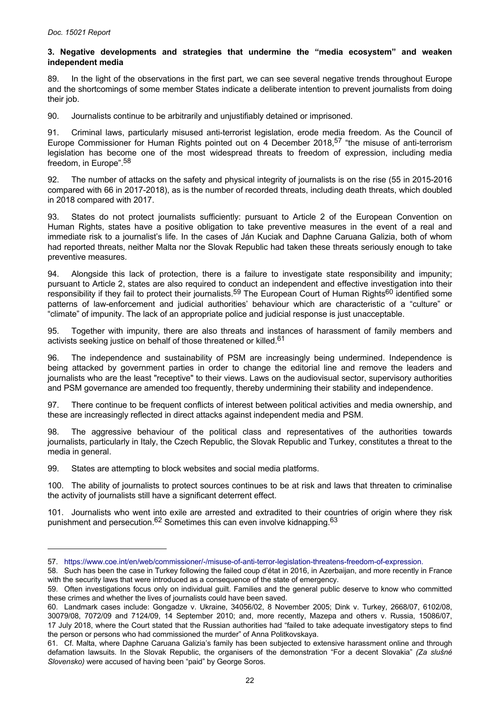#### <span id="page-21-0"></span>**3. Negative developments and strategies that undermine the "media ecosystem" and weaken independent media**

89. In the light of the observations in the first part, we can see several negative trends throughout Europe and the shortcomings of some member States indicate a deliberate intention to prevent journalists from doing their job.

90. Journalists continue to be arbitrarily and unjustifiably detained or imprisoned.

91. Criminal laws, particularly misused anti-terrorist legislation, erode media freedom. As the Council of Europe Commissioner for Human Rights pointed out on 4 December 2018,<sup>57</sup> "the misuse of anti-terrorism legislation has become one of the most widespread threats to freedom of expression, including media freedom, in Europe".<sup>58</sup>

92. The number of attacks on the safety and physical integrity of journalists is on the rise (55 in 2015-2016 compared with 66 in 2017-2018), as is the number of recorded threats, including death threats, which doubled in 2018 compared with 2017.

93. States do not protect journalists sufficiently: pursuant to Article 2 of the European Convention on Human Rights, states have a positive obligation to take preventive measures in the event of a real and immediate risk to a journalist's life. In the cases of Ján Kuciak and Daphne Caruana Galizia, both of whom had reported threats, neither Malta nor the Slovak Republic had taken these threats seriously enough to take preventive measures.

94. Alongside this lack of protection, there is a failure to investigate state responsibility and impunity; pursuant to Article 2, states are also required to conduct an independent and effective investigation into their responsibility if they fail to protect their journalists.<sup>59</sup> The European Court of Human Rights<sup>60</sup> identified some patterns of law-enforcement and judicial authorities' behaviour which are characteristic of a "culture" or "climate" of impunity. The lack of an appropriate police and judicial response is just unacceptable.

95. Together with impunity, there are also threats and instances of harassment of family members and activists seeking justice on behalf of those threatened or killed.<sup>61</sup>

96. The independence and sustainability of PSM are increasingly being undermined. Independence is being attacked by government parties in order to change the editorial line and remove the leaders and journalists who are the least "receptive" to their views. Laws on the audiovisual sector, supervisory authorities and PSM governance are amended too frequently, thereby undermining their stability and independence.

97. There continue to be frequent conflicts of interest between political activities and media ownership, and these are increasingly reflected in direct attacks against independent media and PSM.

The aggressive behaviour of the political class and representatives of the authorities towards journalists, particularly in Italy, the Czech Republic, the Slovak Republic and Turkey, constitutes a threat to the media in general.

99. States are attempting to block websites and social media platforms.

100. The ability of journalists to protect sources continues to be at risk and laws that threaten to criminalise the activity of journalists still have a significant deterrent effect.

101. Journalists who went into exile are arrested and extradited to their countries of origin where they risk punishment and persecution.<sup>62</sup> Sometimes this can even involve kidnapping.<sup>63</sup>

<sup>57.</sup> [https://www.coe.int/en/web/commissioner/-/misuse-of-anti-terror-legislation-threatens-freedom-of-expression.](https://www.coe.int/en/web/commissioner/-/misuse-of-anti-terror-legislation-threatens-freedom-of-expression)

<sup>58.</sup> Such has been the case in Turkey following the failed coup d'état in 2016, in Azerbaijan, and more recently in France with the security laws that were introduced as a consequence of the state of emergency.

<sup>59.</sup> Often investigations focus only on individual guilt. Families and the general public deserve to know who committed these crimes and whether the lives of journalists could have been saved.

<sup>60.</sup> Landmark cases include: Gongadze v. Ukraine, 34056/02, 8 November 2005; Dink v. Turkey, 2668/07, 6102/08, 30079/08, 7072/09 and 7124/09, 14 September 2010; and, more recently, Mazepa and others v. Russia, 15086/07, 17 July 2018, where the Court stated that the Russian authorities had "failed to take adequate investigatory steps to find the person or persons who had commissioned the murder" of Anna Politkovskaya.

<sup>61.</sup> Cf. Malta, where Daphne Caruana Galizia's family has been subjected to extensive harassment online and through defamation lawsuits. In the Slovak Republic, the organisers of the demonstration "For a decent Slovakia" *(Za slušné Slovensko)* were accused of having been "paid" by George Soros.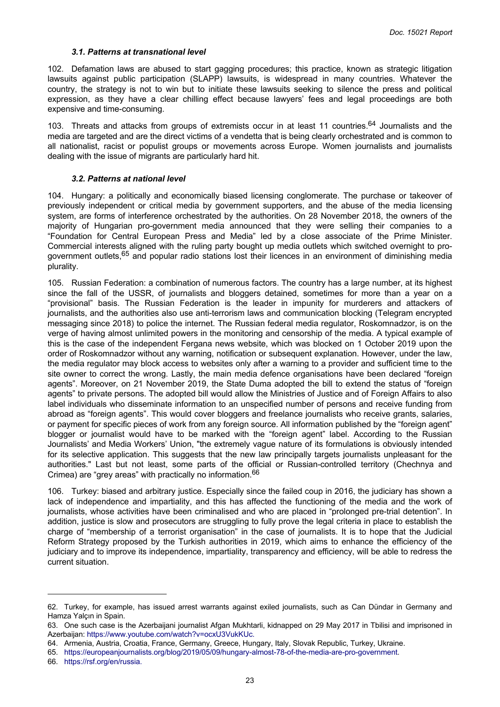#### *3.1. Patterns at transnational level*

<span id="page-22-0"></span>102. Defamation laws are abused to start gagging procedures; this practice, known as strategic litigation lawsuits against public participation (SLAPP) lawsuits, is widespread in many countries. Whatever the country, the strategy is not to win but to initiate these lawsuits seeking to silence the press and political expression, as they have a clear chilling effect because lawyers' fees and legal proceedings are both expensive and time-consuming.

103. Threats and attacks from groups of extremists occur in at least 11 countries.<sup>64</sup> Journalists and the media are targeted and are the direct victims of a vendetta that is being clearly orchestrated and is common to all nationalist, racist or populist groups or movements across Europe. Women journalists and journalists dealing with the issue of migrants are particularly hard hit.

#### *3.2. Patterns at national level*

104. Hungary: a politically and economically biased licensing conglomerate. The purchase or takeover of previously independent or critical media by government supporters, and the abuse of the media licensing system, are forms of interference orchestrated by the authorities. On 28 November 2018, the owners of the majority of Hungarian pro-government media announced that they were selling their companies to a "Foundation for Central European Press and Media" led by a close associate of the Prime Minister. Commercial interests aligned with the ruling party bought up media outlets which switched overnight to progovernment outlets,<sup>65</sup> and popular radio stations lost their licences in an environment of diminishing media plurality.

105. Russian Federation: a combination of numerous factors. The country has a large number, at its highest since the fall of the USSR, of journalists and bloggers detained, sometimes for more than a year on a "provisional" basis. The Russian Federation is the leader in impunity for murderers and attackers of journalists, and the authorities also use anti-terrorism laws and communication blocking (Telegram encrypted messaging since 2018) to police the internet. The Russian federal media regulator, Roskomnadzor, is on the verge of having almost unlimited powers in the monitoring and censorship of the media. A typical example of this is the case of the independent Fergana news website, which was blocked on 1 October 2019 upon the order of Roskomnadzor without any warning, notification or subsequent explanation. However, under the law, the media regulator may block access to websites only after a warning to a provider and sufficient time to the site owner to correct the wrong. Lastly, the main media defence organisations have been declared "foreign agents". Moreover, on 21 November 2019, the State Duma adopted the bill to extend the status of "foreign agents" to private persons. The adopted bill would allow the Ministries of Justice and of Foreign Affairs to also label individuals who disseminate information to an unspecified number of persons and receive funding from abroad as "foreign agents". This would cover bloggers and freelance journalists who receive grants, salaries, or payment for specific pieces of work from any foreign source. All information published by the "foreign agent" blogger or journalist would have to be marked with the "foreign agent" label. According to the Russian Journalists' and Media Workers' Union, "the extremely vague nature of its formulations is obviously intended for its selective application. This suggests that the new law principally targets journalists unpleasant for the authorities." Last but not least, some parts of the official or Russian-controlled territory (Chechnya and Crimea) are "grey areas" with practically no information.<sup>66</sup>

106. Turkey: biased and arbitrary justice. Especially since the failed coup in 2016, the judiciary has shown a lack of independence and impartiality, and this has affected the functioning of the media and the work of journalists, whose activities have been criminalised and who are placed in "prolonged pre-trial detention". In addition, justice is slow and prosecutors are struggling to fully prove the legal criteria in place to establish the charge of "membership of a terrorist organisation" in the case of journalists. It is to hope that the Judicial Reform Strategy proposed by the Turkish authorities in 2019, which aims to enhance the efficiency of the judiciary and to improve its independence, impartiality, transparency and efficiency, will be able to redress the current situation.

<sup>62.</sup> Turkey, for example, has issued arrest warrants against exiled journalists, such as Can Dündar in Germany and Hamza Yalçın in Spain.

<sup>63.</sup> One such case is the Azerbaijani journalist Afgan Mukhtarli, kidnapped on 29 May 2017 in Tbilisi and imprisoned in Azerbaijan: [https://www.youtube.com/watch?v=ocxU3VukKUc.](https://www.youtube.com/watch?v=ocxU3VukKUc)

<sup>64.</sup> Armenia, Austria, Croatia, France, Germany, Greece, Hungary, Italy, Slovak Republic, Turkey, Ukraine.

<sup>65.</sup> <https://europeanjournalists.org/blog/2019/05/09/hungary-almost-78-of-the-media-are-pro-government>.

<sup>66.</sup> [https://rsf.org/en/russia.](https://rsf.org/en/russia)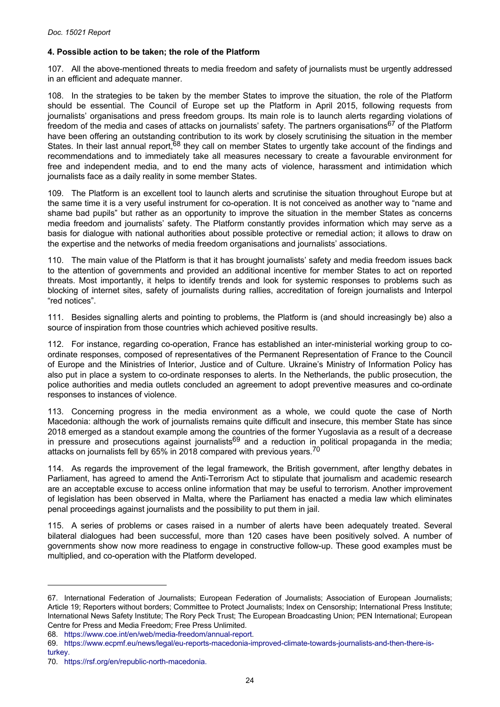# <span id="page-23-0"></span>**4. Possible action to be taken; the role of the Platform**

107. All the above-mentioned threats to media freedom and safety of journalists must be urgently addressed in an efficient and adequate manner.

108. In the strategies to be taken by the member States to improve the situation, the role of the Platform should be essential. The Council of Europe set up the Platform in April 2015, following requests from journalists' organisations and press freedom groups. Its main role is to launch alerts regarding violations of freedom of the media and cases of attacks on journalists' safety. The partners organisations<sup>67</sup> of the Platform have been offering an outstanding contribution to its work by closely scrutinising the situation in the member States. In their last annual report,<sup>68</sup> they call on member States to urgently take account of the findings and recommendations and to immediately take all measures necessary to create a favourable environment for free and independent media, and to end the many acts of violence, harassment and intimidation which journalists face as a daily reality in some member States.

109. The Platform is an excellent tool to launch alerts and scrutinise the situation throughout Europe but at the same time it is a very useful instrument for co-operation. It is not conceived as another way to "name and shame bad pupils" but rather as an opportunity to improve the situation in the member States as concerns media freedom and journalists' safety. The Platform constantly provides information which may serve as a basis for dialogue with national authorities about possible protective or remedial action; it allows to draw on the expertise and the networks of media freedom organisations and journalists' associations.

110. The main value of the Platform is that it has brought journalists' safety and media freedom issues back to the attention of governments and provided an additional incentive for member States to act on reported threats. Most importantly, it helps to identify trends and look for systemic responses to problems such as blocking of internet sites, safety of journalists during rallies, accreditation of foreign journalists and Interpol "red notices".

111. Besides signalling alerts and pointing to problems, the Platform is (and should increasingly be) also a source of inspiration from those countries which achieved positive results.

112. For instance, regarding co-operation, France has established an inter-ministerial working group to coordinate responses, composed of representatives of the Permanent Representation of France to the Council of Europe and the Ministries of Interior, Justice and of Culture. Ukraine's Ministry of Information Policy has also put in place a system to co-ordinate responses to alerts. In the Netherlands, the public prosecution, the police authorities and media outlets concluded an agreement to adopt preventive measures and co-ordinate responses to instances of violence.

113. Concerning progress in the media environment as a whole, we could quote the case of North Macedonia: although the work of journalists remains quite difficult and insecure, this member State has since 2018 emerged as a standout example among the countries of the former Yugoslavia as a result of a decrease in pressure and prosecutions against journalists<sup>69</sup> and a reduction in political propaganda in the media; attacks on journalists fell by 65% in 2018 compared with previous vears.<sup>70</sup>

114. As regards the improvement of the legal framework, the British government, after lengthy debates in Parliament, has agreed to amend the Anti-Terrorism Act to stipulate that journalism and academic research are an acceptable excuse to access online information that may be useful to terrorism. Another improvement of legislation has been observed in Malta, where the Parliament has enacted a media law which eliminates penal proceedings against journalists and the possibility to put them in jail.

115. A series of problems or cases raised in a number of alerts have been adequately treated. Several bilateral dialogues had been successful, more than 120 cases have been positively solved. A number of governments show now more readiness to engage in constructive follow-up. These good examples must be multiplied, and co-operation with the Platform developed.

<sup>67.</sup> International Federation of Journalists; European Federation of Journalists; Association of European Journalists; Article 19; Reporters without borders; Committee to Protect Journalists; Index on Censorship; International Press Institute; International News Safety Institute; The Rory Peck Trust; The European Broadcasting Union; PEN International; European Centre for Press and Media Freedom; Free Press Unlimited.

<sup>68.</sup> [https://www.coe.int/en/web/media-freedom/annual-report.](https://www.coe.int/en/web/media-freedom/annual-report)

<sup>69.</sup> [https://www.ecpmf.eu/news/legal/eu-reports-macedonia-improved-climate-towards-journalists-and-then-there-is-](https://www.ecpmf.eu/news/legal/eu-reports-macedonia-improved-climate-towards-journalists-and-then-there-is-turkey)

[turkey.](https://www.ecpmf.eu/news/legal/eu-reports-macedonia-improved-climate-towards-journalists-and-then-there-is-turkey)

<sup>70.</sup> [https://rsf.org/en/republic-north-macedonia.](https://rsf.org/en/republic-north-macedonia)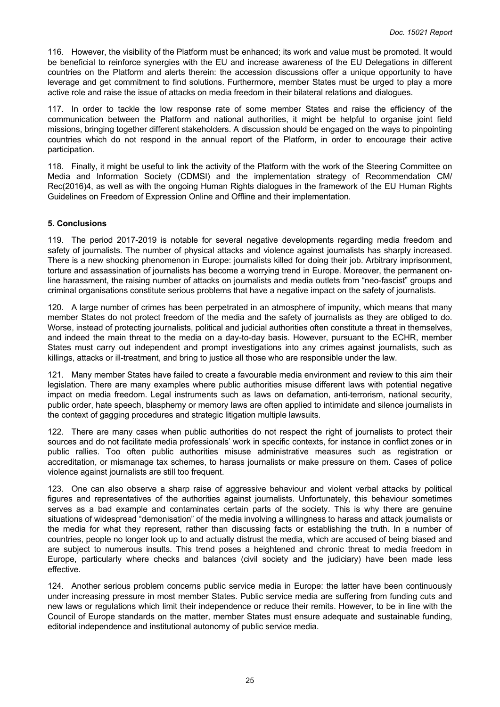<span id="page-24-0"></span>116. However, the visibility of the Platform must be enhanced; its work and value must be promoted. It would be beneficial to reinforce synergies with the EU and increase awareness of the EU Delegations in different countries on the Platform and alerts therein: the accession discussions offer a unique opportunity to have leverage and get commitment to find solutions. Furthermore, member States must be urged to play a more active role and raise the issue of attacks on media freedom in their bilateral relations and dialogues.

117. In order to tackle the low response rate of some member States and raise the efficiency of the communication between the Platform and national authorities, it might be helpful to organise joint field missions, bringing together different stakeholders. A discussion should be engaged on the ways to pinpointing countries which do not respond in the annual report of the Platform, in order to encourage their active participation.

118. Finally, it might be useful to link the activity of the Platform with the work of the Steering Committee on Media and Information Society (CDMSI) and the implementation strategy of Recommendation CM/ Rec(2016)4, as well as with the ongoing Human Rights dialogues in the framework of the EU Human Rights Guidelines on Freedom of Expression Online and Offline and their implementation.

# **5. Conclusions**

119. The period 2017-2019 is notable for several negative developments regarding media freedom and safety of journalists. The number of physical attacks and violence against journalists has sharply increased. There is a new shocking phenomenon in Europe: journalists killed for doing their job. Arbitrary imprisonment, torture and assassination of journalists has become a worrying trend in Europe. Moreover, the permanent online harassment, the raising number of attacks on journalists and media outlets from "neo-fascist" groups and criminal organisations constitute serious problems that have a negative impact on the safety of journalists.

120. A large number of crimes has been perpetrated in an atmosphere of impunity, which means that many member States do not protect freedom of the media and the safety of journalists as they are obliged to do. Worse, instead of protecting journalists, political and judicial authorities often constitute a threat in themselves, and indeed the main threat to the media on a day-to-day basis. However, pursuant to the ECHR, member States must carry out independent and prompt investigations into any crimes against journalists, such as killings, attacks or ill-treatment, and bring to justice all those who are responsible under the law.

121. Many member States have failed to create a favourable media environment and review to this aim their legislation. There are many examples where public authorities misuse different laws with potential negative impact on media freedom. Legal instruments such as laws on defamation, anti-terrorism, national security, public order, hate speech, blasphemy or memory laws are often applied to intimidate and silence journalists in the context of gagging procedures and strategic litigation multiple lawsuits.

122. There are many cases when public authorities do not respect the right of journalists to protect their sources and do not facilitate media professionals' work in specific contexts, for instance in conflict zones or in public rallies. Too often public authorities misuse administrative measures such as registration or accreditation, or mismanage tax schemes, to harass journalists or make pressure on them. Cases of police violence against journalists are still too frequent.

123. One can also observe a sharp raise of aggressive behaviour and violent verbal attacks by political figures and representatives of the authorities against journalists. Unfortunately, this behaviour sometimes serves as a bad example and contaminates certain parts of the society. This is why there are genuine situations of widespread "demonisation" of the media involving a willingness to harass and attack journalists or the media for what they represent, rather than discussing facts or establishing the truth. In a number of countries, people no longer look up to and actually distrust the media, which are accused of being biased and are subject to numerous insults. This trend poses a heightened and chronic threat to media freedom in Europe, particularly where checks and balances (civil society and the judiciary) have been made less effective.

124. Another serious problem concerns public service media in Europe: the latter have been continuously under increasing pressure in most member States. Public service media are suffering from funding cuts and new laws or regulations which limit their independence or reduce their remits. However, to be in line with the Council of Europe standards on the matter, member States must ensure adequate and sustainable funding, editorial independence and institutional autonomy of public service media.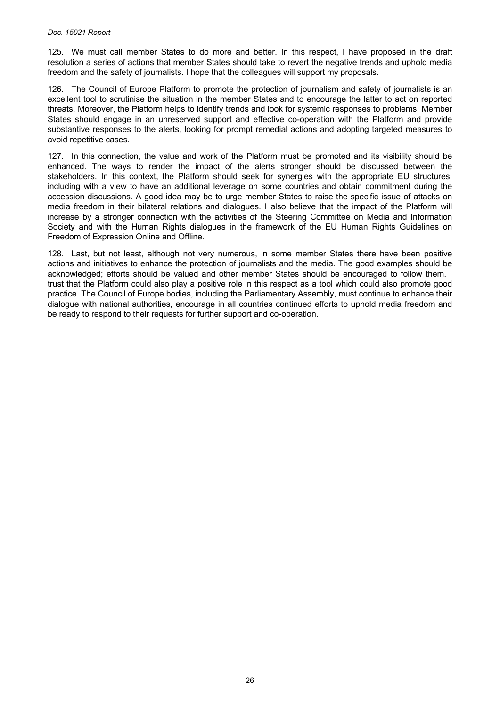125. We must call member States to do more and better. In this respect, I have proposed in the draft resolution a series of actions that member States should take to revert the negative trends and uphold media freedom and the safety of journalists. I hope that the colleagues will support my proposals.

126. The Council of Europe Platform to promote the protection of journalism and safety of journalists is an excellent tool to scrutinise the situation in the member States and to encourage the latter to act on reported threats. Moreover, the Platform helps to identify trends and look for systemic responses to problems. Member States should engage in an unreserved support and effective co-operation with the Platform and provide substantive responses to the alerts, looking for prompt remedial actions and adopting targeted measures to avoid repetitive cases.

127. In this connection, the value and work of the Platform must be promoted and its visibility should be enhanced. The ways to render the impact of the alerts stronger should be discussed between the stakeholders. In this context, the Platform should seek for synergies with the appropriate EU structures, including with a view to have an additional leverage on some countries and obtain commitment during the accession discussions. A good idea may be to urge member States to raise the specific issue of attacks on media freedom in their bilateral relations and dialogues. I also believe that the impact of the Platform will increase by a stronger connection with the activities of the Steering Committee on Media and Information Society and with the Human Rights dialogues in the framework of the EU Human Rights Guidelines on Freedom of Expression Online and Offline.

128. Last, but not least, although not very numerous, in some member States there have been positive actions and initiatives to enhance the protection of journalists and the media. The good examples should be acknowledged; efforts should be valued and other member States should be encouraged to follow them. I trust that the Platform could also play a positive role in this respect as a tool which could also promote good practice. The Council of Europe bodies, including the Parliamentary Assembly, must continue to enhance their dialogue with national authorities, encourage in all countries continued efforts to uphold media freedom and be ready to respond to their requests for further support and co-operation.